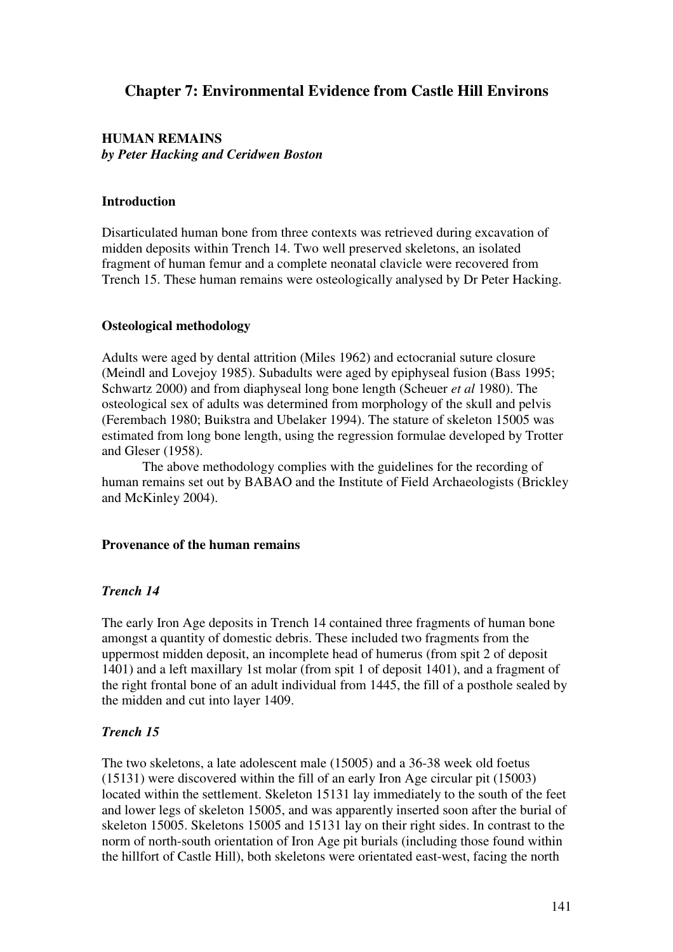# **Chapter 7: Environmental Evidence from Castle Hill Environs**

# **HUMAN REMAINS**  *by Peter Hacking and Ceridwen Boston*

# **Introduction**

Disarticulated human bone from three contexts was retrieved during excavation of midden deposits within Trench 14. Two well preserved skeletons, an isolated fragment of human femur and a complete neonatal clavicle were recovered from Trench 15. These human remains were osteologically analysed by Dr Peter Hacking.

# **Osteological methodology**

Adults were aged by dental attrition (Miles 1962) and ectocranial suture closure (Meindl and Lovejoy 1985). Subadults were aged by epiphyseal fusion (Bass 1995; Schwartz 2000) and from diaphyseal long bone length (Scheuer *et al* 1980). The osteological sex of adults was determined from morphology of the skull and pelvis (Ferembach 1980; Buikstra and Ubelaker 1994). The stature of skeleton 15005 was estimated from long bone length, using the regression formulae developed by Trotter and Gleser (1958).

The above methodology complies with the guidelines for the recording of human remains set out by BABAO and the Institute of Field Archaeologists (Brickley and McKinley 2004).

## **Provenance of the human remains**

# *Trench 14*

The early Iron Age deposits in Trench 14 contained three fragments of human bone amongst a quantity of domestic debris. These included two fragments from the uppermost midden deposit, an incomplete head of humerus (from spit 2 of deposit 1401) and a left maxillary 1st molar (from spit 1 of deposit 1401), and a fragment of the right frontal bone of an adult individual from 1445, the fill of a posthole sealed by the midden and cut into layer 1409.

## *Trench 15*

The two skeletons, a late adolescent male (15005) and a 36-38 week old foetus (15131) were discovered within the fill of an early Iron Age circular pit (15003) located within the settlement. Skeleton 15131 lay immediately to the south of the feet and lower legs of skeleton 15005, and was apparently inserted soon after the burial of skeleton 15005. Skeletons 15005 and 15131 lay on their right sides. In contrast to the norm of north-south orientation of Iron Age pit burials (including those found within the hillfort of Castle Hill), both skeletons were orientated east-west, facing the north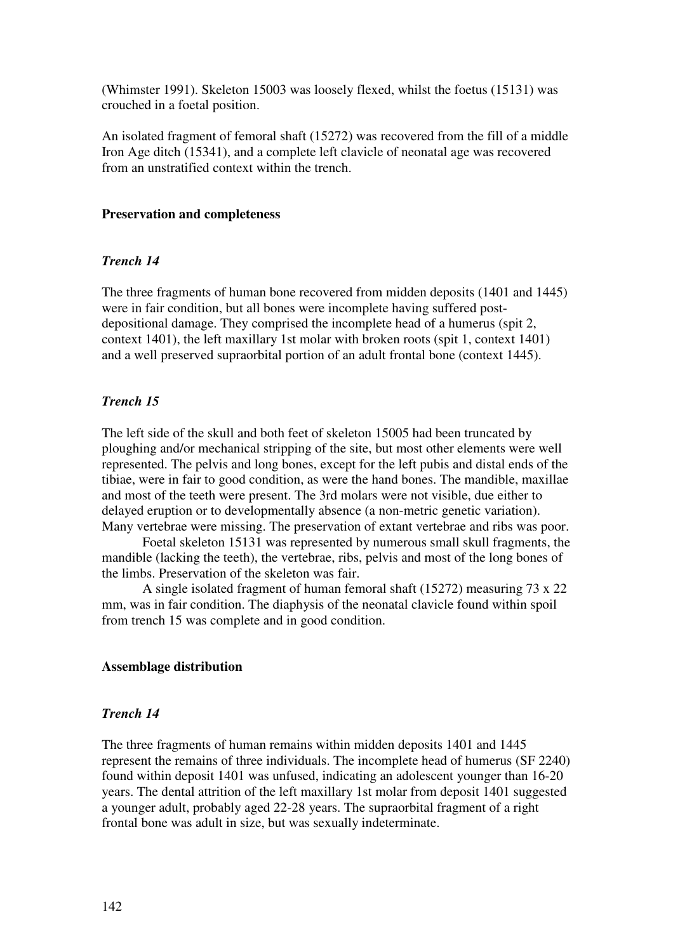(Whimster 1991). Skeleton 15003 was loosely flexed, whilst the foetus (15131) was crouched in a foetal position.

An isolated fragment of femoral shaft (15272) was recovered from the fill of a middle Iron Age ditch (15341), and a complete left clavicle of neonatal age was recovered from an unstratified context within the trench.

# **Preservation and completeness**

# *Trench 14*

The three fragments of human bone recovered from midden deposits (1401 and 1445) were in fair condition, but all bones were incomplete having suffered postdepositional damage. They comprised the incomplete head of a humerus (spit 2, context 1401), the left maxillary 1st molar with broken roots (spit 1, context 1401) and a well preserved supraorbital portion of an adult frontal bone (context 1445).

# *Trench 15*

The left side of the skull and both feet of skeleton 15005 had been truncated by ploughing and/or mechanical stripping of the site, but most other elements were well represented. The pelvis and long bones, except for the left pubis and distal ends of the tibiae, were in fair to good condition, as were the hand bones. The mandible, maxillae and most of the teeth were present. The 3rd molars were not visible, due either to delayed eruption or to developmentally absence (a non-metric genetic variation). Many vertebrae were missing. The preservation of extant vertebrae and ribs was poor.

Foetal skeleton 15131 was represented by numerous small skull fragments, the mandible (lacking the teeth), the vertebrae, ribs, pelvis and most of the long bones of the limbs. Preservation of the skeleton was fair.

A single isolated fragment of human femoral shaft (15272) measuring 73 x 22 mm, was in fair condition. The diaphysis of the neonatal clavicle found within spoil from trench 15 was complete and in good condition.

# **Assemblage distribution**

# *Trench 14*

The three fragments of human remains within midden deposits 1401 and 1445 represent the remains of three individuals. The incomplete head of humerus (SF 2240) found within deposit 1401 was unfused, indicating an adolescent younger than 16-20 years. The dental attrition of the left maxillary 1st molar from deposit 1401 suggested a younger adult, probably aged 22-28 years. The supraorbital fragment of a right frontal bone was adult in size, but was sexually indeterminate.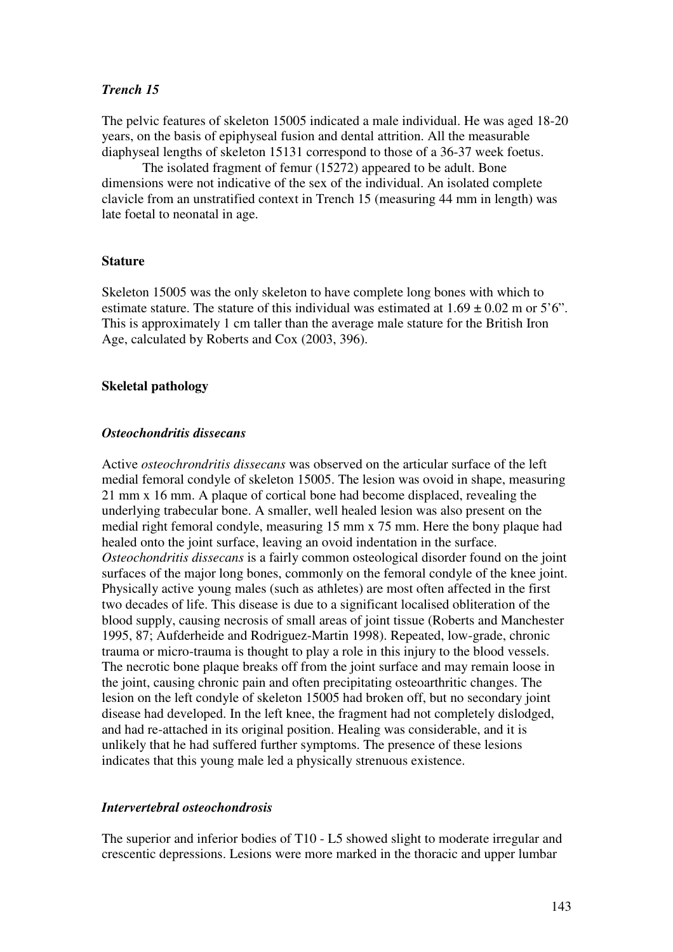# *Trench 15*

The pelvic features of skeleton 15005 indicated a male individual. He was aged 18-20 years, on the basis of epiphyseal fusion and dental attrition. All the measurable diaphyseal lengths of skeleton 15131 correspond to those of a 36-37 week foetus.

The isolated fragment of femur (15272) appeared to be adult. Bone dimensions were not indicative of the sex of the individual. An isolated complete clavicle from an unstratified context in Trench 15 (measuring 44 mm in length) was late foetal to neonatal in age.

# **Stature**

Skeleton 15005 was the only skeleton to have complete long bones with which to estimate stature. The stature of this individual was estimated at  $1.69 \pm 0.02$  m or  $5^{\circ}$ . This is approximately 1 cm taller than the average male stature for the British Iron Age, calculated by Roberts and Cox (2003, 396).

# **Skeletal pathology**

# *Osteochondritis dissecans*

Active *osteochrondritis dissecans* was observed on the articular surface of the left medial femoral condyle of skeleton 15005. The lesion was ovoid in shape, measuring 21 mm x 16 mm. A plaque of cortical bone had become displaced, revealing the underlying trabecular bone. A smaller, well healed lesion was also present on the medial right femoral condyle, measuring 15 mm x 75 mm. Here the bony plaque had healed onto the joint surface, leaving an ovoid indentation in the surface. *Osteochondritis dissecans* is a fairly common osteological disorder found on the joint surfaces of the major long bones, commonly on the femoral condyle of the knee joint. Physically active young males (such as athletes) are most often affected in the first two decades of life. This disease is due to a significant localised obliteration of the blood supply, causing necrosis of small areas of joint tissue (Roberts and Manchester 1995, 87; Aufderheide and Rodriguez-Martin 1998). Repeated, low-grade, chronic trauma or micro-trauma is thought to play a role in this injury to the blood vessels. The necrotic bone plaque breaks off from the joint surface and may remain loose in the joint, causing chronic pain and often precipitating osteoarthritic changes. The lesion on the left condyle of skeleton 15005 had broken off, but no secondary joint disease had developed. In the left knee, the fragment had not completely dislodged, and had re-attached in its original position. Healing was considerable, and it is unlikely that he had suffered further symptoms. The presence of these lesions indicates that this young male led a physically strenuous existence.

# *Intervertebral osteochondrosis*

The superior and inferior bodies of T10 - L5 showed slight to moderate irregular and crescentic depressions. Lesions were more marked in the thoracic and upper lumbar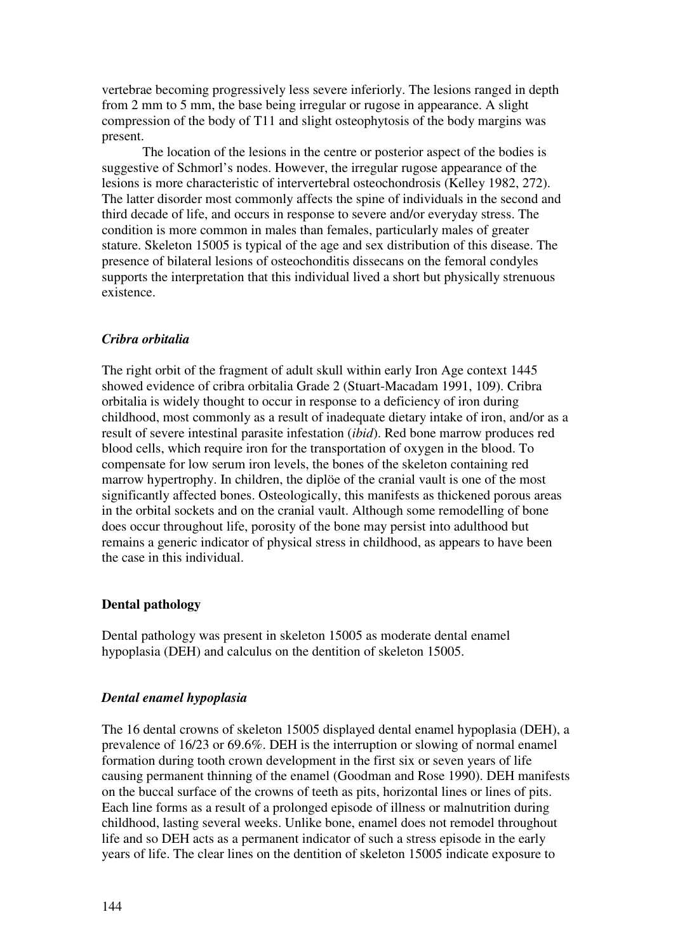vertebrae becoming progressively less severe inferiorly. The lesions ranged in depth from 2 mm to 5 mm, the base being irregular or rugose in appearance. A slight compression of the body of T11 and slight osteophytosis of the body margins was present.

The location of the lesions in the centre or posterior aspect of the bodies is suggestive of Schmorl's nodes. However, the irregular rugose appearance of the lesions is more characteristic of intervertebral osteochondrosis (Kelley 1982, 272). The latter disorder most commonly affects the spine of individuals in the second and third decade of life, and occurs in response to severe and/or everyday stress. The condition is more common in males than females, particularly males of greater stature. Skeleton 15005 is typical of the age and sex distribution of this disease. The presence of bilateral lesions of osteochonditis dissecans on the femoral condyles supports the interpretation that this individual lived a short but physically strenuous existence.

# *Cribra orbitalia*

The right orbit of the fragment of adult skull within early Iron Age context 1445 showed evidence of cribra orbitalia Grade 2 (Stuart-Macadam 1991, 109). Cribra orbitalia is widely thought to occur in response to a deficiency of iron during childhood, most commonly as a result of inadequate dietary intake of iron, and/or as a result of severe intestinal parasite infestation (*ibid*). Red bone marrow produces red blood cells, which require iron for the transportation of oxygen in the blood. To compensate for low serum iron levels, the bones of the skeleton containing red marrow hypertrophy. In children, the diplöe of the cranial vault is one of the most significantly affected bones. Osteologically, this manifests as thickened porous areas in the orbital sockets and on the cranial vault. Although some remodelling of bone does occur throughout life, porosity of the bone may persist into adulthood but remains a generic indicator of physical stress in childhood, as appears to have been the case in this individual.

## **Dental pathology**

Dental pathology was present in skeleton 15005 as moderate dental enamel hypoplasia (DEH) and calculus on the dentition of skeleton 15005.

## *Dental enamel hypoplasia*

The 16 dental crowns of skeleton 15005 displayed dental enamel hypoplasia (DEH), a prevalence of 16/23 or 69.6%. DEH is the interruption or slowing of normal enamel formation during tooth crown development in the first six or seven years of life causing permanent thinning of the enamel (Goodman and Rose 1990). DEH manifests on the buccal surface of the crowns of teeth as pits, horizontal lines or lines of pits. Each line forms as a result of a prolonged episode of illness or malnutrition during childhood, lasting several weeks. Unlike bone, enamel does not remodel throughout life and so DEH acts as a permanent indicator of such a stress episode in the early years of life. The clear lines on the dentition of skeleton 15005 indicate exposure to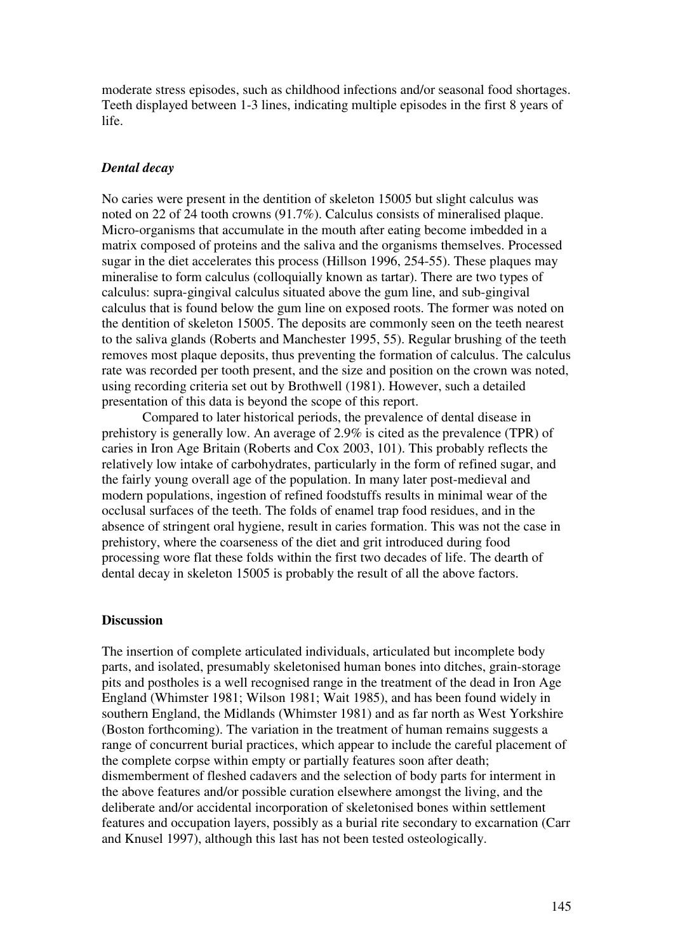moderate stress episodes, such as childhood infections and/or seasonal food shortages. Teeth displayed between 1-3 lines, indicating multiple episodes in the first 8 years of life.

# *Dental decay*

No caries were present in the dentition of skeleton 15005 but slight calculus was noted on 22 of 24 tooth crowns (91.7%). Calculus consists of mineralised plaque. Micro-organisms that accumulate in the mouth after eating become imbedded in a matrix composed of proteins and the saliva and the organisms themselves. Processed sugar in the diet accelerates this process (Hillson 1996, 254-55). These plaques may mineralise to form calculus (colloquially known as tartar). There are two types of calculus: supra-gingival calculus situated above the gum line, and sub-gingival calculus that is found below the gum line on exposed roots. The former was noted on the dentition of skeleton 15005. The deposits are commonly seen on the teeth nearest to the saliva glands (Roberts and Manchester 1995, 55). Regular brushing of the teeth removes most plaque deposits, thus preventing the formation of calculus. The calculus rate was recorded per tooth present, and the size and position on the crown was noted, using recording criteria set out by Brothwell (1981). However, such a detailed presentation of this data is beyond the scope of this report.

Compared to later historical periods, the prevalence of dental disease in prehistory is generally low. An average of 2.9% is cited as the prevalence (TPR) of caries in Iron Age Britain (Roberts and Cox 2003, 101). This probably reflects the relatively low intake of carbohydrates, particularly in the form of refined sugar, and the fairly young overall age of the population. In many later post-medieval and modern populations, ingestion of refined foodstuffs results in minimal wear of the occlusal surfaces of the teeth. The folds of enamel trap food residues, and in the absence of stringent oral hygiene, result in caries formation. This was not the case in prehistory, where the coarseness of the diet and grit introduced during food processing wore flat these folds within the first two decades of life. The dearth of dental decay in skeleton 15005 is probably the result of all the above factors.

#### **Discussion**

The insertion of complete articulated individuals, articulated but incomplete body parts, and isolated, presumably skeletonised human bones into ditches, grain-storage pits and postholes is a well recognised range in the treatment of the dead in Iron Age England (Whimster 1981; Wilson 1981; Wait 1985), and has been found widely in southern England, the Midlands (Whimster 1981) and as far north as West Yorkshire (Boston forthcoming). The variation in the treatment of human remains suggests a range of concurrent burial practices, which appear to include the careful placement of the complete corpse within empty or partially features soon after death; dismemberment of fleshed cadavers and the selection of body parts for interment in the above features and/or possible curation elsewhere amongst the living, and the deliberate and/or accidental incorporation of skeletonised bones within settlement features and occupation layers, possibly as a burial rite secondary to excarnation (Carr and Knusel 1997), although this last has not been tested osteologically.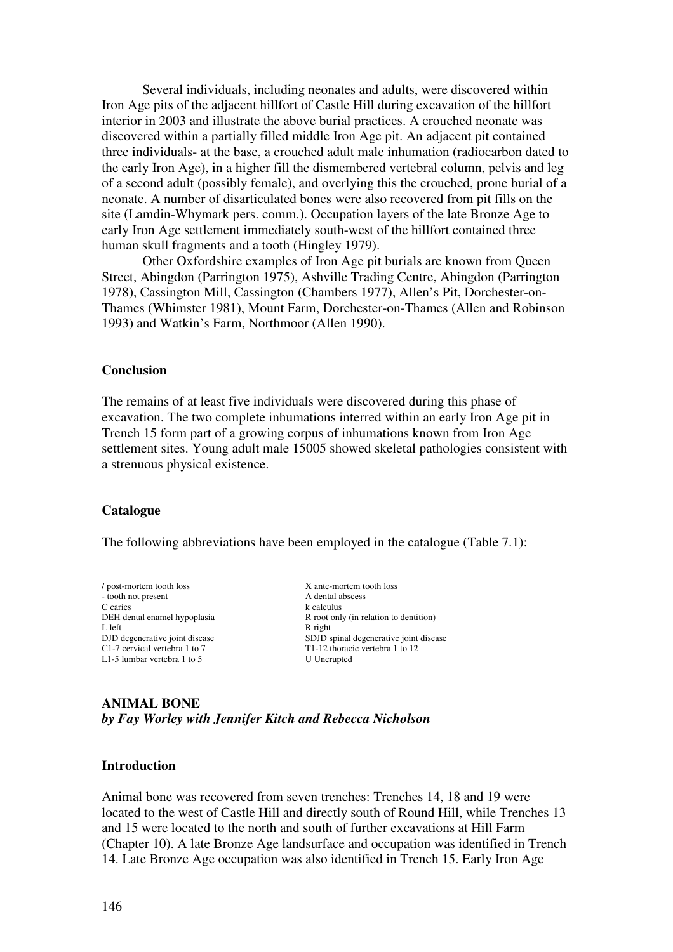Several individuals, including neonates and adults, were discovered within Iron Age pits of the adjacent hillfort of Castle Hill during excavation of the hillfort interior in 2003 and illustrate the above burial practices. A crouched neonate was discovered within a partially filled middle Iron Age pit. An adjacent pit contained three individuals- at the base, a crouched adult male inhumation (radiocarbon dated to the early Iron Age), in a higher fill the dismembered vertebral column, pelvis and leg of a second adult (possibly female), and overlying this the crouched, prone burial of a neonate. A number of disarticulated bones were also recovered from pit fills on the site (Lamdin-Whymark pers. comm.). Occupation layers of the late Bronze Age to early Iron Age settlement immediately south-west of the hillfort contained three human skull fragments and a tooth (Hingley 1979).

Other Oxfordshire examples of Iron Age pit burials are known from Queen Street, Abingdon (Parrington 1975), Ashville Trading Centre, Abingdon (Parrington 1978), Cassington Mill, Cassington (Chambers 1977), Allen's Pit, Dorchester-on-Thames (Whimster 1981), Mount Farm, Dorchester-on-Thames (Allen and Robinson 1993) and Watkin's Farm, Northmoor (Allen 1990).

#### **Conclusion**

The remains of at least five individuals were discovered during this phase of excavation. The two complete inhumations interred within an early Iron Age pit in Trench 15 form part of a growing corpus of inhumations known from Iron Age settlement sites. Young adult male 15005 showed skeletal pathologies consistent with a strenuous physical existence.

#### **Catalogue**

The following abbreviations have been employed in the catalogue (Table 7.1):

/ post-mortem tooth loss X ante-mortem tooth loss - tooth not present A dental abscess C caries k calculus<br>
DEH dental enamel hypoplasia R root onl L left R right C1-7 cervical vertebra 1 to 7 T1-12 thoracic vertebra 1 to 12<br>
L1-5 lumbar vertebra 1 to 5 U Unerupted L1-5 lumbar vertebra  $1$  to  $5$ 

R root only (in relation to dentition) DJD degenerative joint disease SDJD spinal degenerative joint disease

**ANIMAL BONE**  *by Fay Worley with Jennifer Kitch and Rebecca Nicholson* 

## **Introduction**

Animal bone was recovered from seven trenches: Trenches 14, 18 and 19 were located to the west of Castle Hill and directly south of Round Hill, while Trenches 13 and 15 were located to the north and south of further excavations at Hill Farm (Chapter 10). A late Bronze Age landsurface and occupation was identified in Trench 14. Late Bronze Age occupation was also identified in Trench 15. Early Iron Age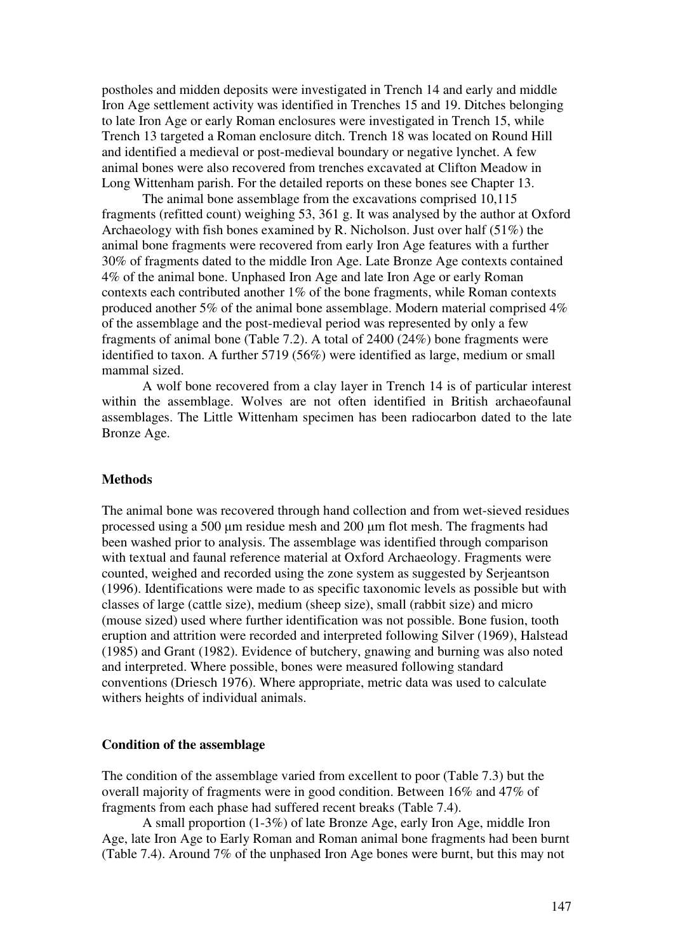postholes and midden deposits were investigated in Trench 14 and early and middle Iron Age settlement activity was identified in Trenches 15 and 19. Ditches belonging to late Iron Age or early Roman enclosures were investigated in Trench 15, while Trench 13 targeted a Roman enclosure ditch. Trench 18 was located on Round Hill and identified a medieval or post-medieval boundary or negative lynchet. A few animal bones were also recovered from trenches excavated at Clifton Meadow in Long Wittenham parish. For the detailed reports on these bones see Chapter 13.

The animal bone assemblage from the excavations comprised 10,115 fragments (refitted count) weighing 53, 361 g. It was analysed by the author at Oxford Archaeology with fish bones examined by R. Nicholson. Just over half (51%) the animal bone fragments were recovered from early Iron Age features with a further 30% of fragments dated to the middle Iron Age. Late Bronze Age contexts contained 4% of the animal bone. Unphased Iron Age and late Iron Age or early Roman contexts each contributed another 1% of the bone fragments, while Roman contexts produced another 5% of the animal bone assemblage. Modern material comprised 4% of the assemblage and the post-medieval period was represented by only a few fragments of animal bone (Table 7.2). A total of 2400 (24%) bone fragments were identified to taxon. A further 5719 (56%) were identified as large, medium or small mammal sized.

A wolf bone recovered from a clay layer in Trench 14 is of particular interest within the assemblage. Wolves are not often identified in British archaeofaunal assemblages. The Little Wittenham specimen has been radiocarbon dated to the late Bronze Age.

#### **Methods**

The animal bone was recovered through hand collection and from wet-sieved residues processed using a 500 μm residue mesh and 200 μm flot mesh. The fragments had been washed prior to analysis. The assemblage was identified through comparison with textual and faunal reference material at Oxford Archaeology. Fragments were counted, weighed and recorded using the zone system as suggested by Serjeantson (1996). Identifications were made to as specific taxonomic levels as possible but with classes of large (cattle size), medium (sheep size), small (rabbit size) and micro (mouse sized) used where further identification was not possible. Bone fusion, tooth eruption and attrition were recorded and interpreted following Silver (1969), Halstead (1985) and Grant (1982). Evidence of butchery, gnawing and burning was also noted and interpreted. Where possible, bones were measured following standard conventions (Driesch 1976). Where appropriate, metric data was used to calculate withers heights of individual animals.

#### **Condition of the assemblage**

The condition of the assemblage varied from excellent to poor (Table 7.3) but the overall majority of fragments were in good condition. Between 16% and 47% of fragments from each phase had suffered recent breaks (Table 7.4).

A small proportion (1-3%) of late Bronze Age, early Iron Age, middle Iron Age, late Iron Age to Early Roman and Roman animal bone fragments had been burnt (Table 7.4). Around 7% of the unphased Iron Age bones were burnt, but this may not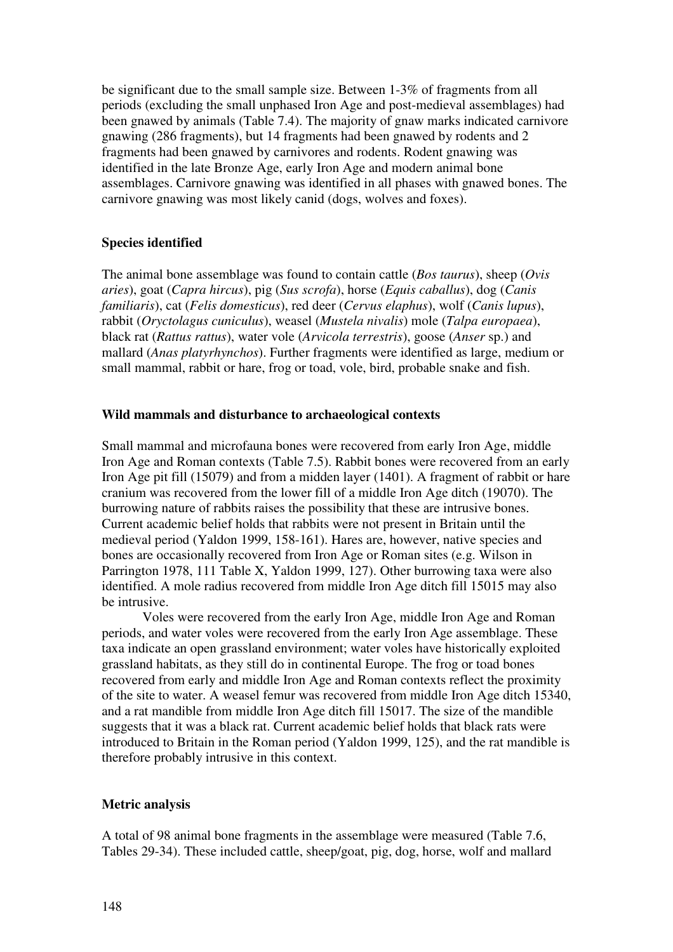be significant due to the small sample size. Between 1-3% of fragments from all periods (excluding the small unphased Iron Age and post-medieval assemblages) had been gnawed by animals (Table 7.4). The majority of gnaw marks indicated carnivore gnawing (286 fragments), but 14 fragments had been gnawed by rodents and 2 fragments had been gnawed by carnivores and rodents. Rodent gnawing was identified in the late Bronze Age, early Iron Age and modern animal bone assemblages. Carnivore gnawing was identified in all phases with gnawed bones. The carnivore gnawing was most likely canid (dogs, wolves and foxes).

# **Species identified**

The animal bone assemblage was found to contain cattle (*Bos taurus*), sheep (*Ovis aries*), goat (*Capra hircus*), pig (*Sus scrofa*), horse (*Equis caballus*), dog (*Canis familiaris*), cat (*Felis domesticus*), red deer (*Cervus elaphus*), wolf (*Canis lupus*), rabbit (*Oryctolagus cuniculus*), weasel (*Mustela nivalis*) mole (*Talpa europaea*), black rat (*Rattus rattus*), water vole (*Arvicola terrestris*), goose (*Anser* sp.) and mallard (*Anas platyrhynchos*). Further fragments were identified as large, medium or small mammal, rabbit or hare, frog or toad, vole, bird, probable snake and fish.

## **Wild mammals and disturbance to archaeological contexts**

Small mammal and microfauna bones were recovered from early Iron Age, middle Iron Age and Roman contexts (Table 7.5). Rabbit bones were recovered from an early Iron Age pit fill (15079) and from a midden layer (1401). A fragment of rabbit or hare cranium was recovered from the lower fill of a middle Iron Age ditch (19070). The burrowing nature of rabbits raises the possibility that these are intrusive bones. Current academic belief holds that rabbits were not present in Britain until the medieval period (Yaldon 1999, 158-161). Hares are, however, native species and bones are occasionally recovered from Iron Age or Roman sites (e.g. Wilson in Parrington 1978, 111 Table X, Yaldon 1999, 127). Other burrowing taxa were also identified. A mole radius recovered from middle Iron Age ditch fill 15015 may also be intrusive.

Voles were recovered from the early Iron Age, middle Iron Age and Roman periods, and water voles were recovered from the early Iron Age assemblage. These taxa indicate an open grassland environment; water voles have historically exploited grassland habitats, as they still do in continental Europe. The frog or toad bones recovered from early and middle Iron Age and Roman contexts reflect the proximity of the site to water. A weasel femur was recovered from middle Iron Age ditch 15340, and a rat mandible from middle Iron Age ditch fill 15017. The size of the mandible suggests that it was a black rat. Current academic belief holds that black rats were introduced to Britain in the Roman period (Yaldon 1999, 125), and the rat mandible is therefore probably intrusive in this context.

## **Metric analysis**

A total of 98 animal bone fragments in the assemblage were measured (Table 7.6, Tables 29-34). These included cattle, sheep/goat, pig, dog, horse, wolf and mallard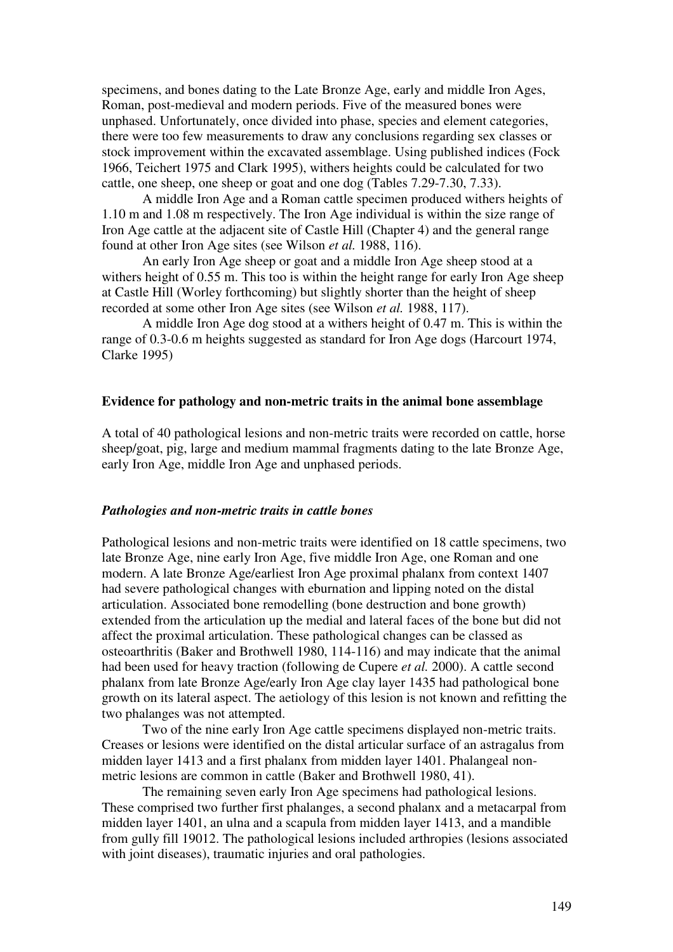specimens, and bones dating to the Late Bronze Age, early and middle Iron Ages, Roman, post-medieval and modern periods. Five of the measured bones were unphased. Unfortunately, once divided into phase, species and element categories, there were too few measurements to draw any conclusions regarding sex classes or stock improvement within the excavated assemblage. Using published indices (Fock 1966, Teichert 1975 and Clark 1995), withers heights could be calculated for two cattle, one sheep, one sheep or goat and one dog (Tables 7.29-7.30, 7.33).

A middle Iron Age and a Roman cattle specimen produced withers heights of 1.10 m and 1.08 m respectively. The Iron Age individual is within the size range of Iron Age cattle at the adjacent site of Castle Hill (Chapter 4) and the general range found at other Iron Age sites (see Wilson *et al.* 1988, 116).

An early Iron Age sheep or goat and a middle Iron Age sheep stood at a withers height of 0.55 m. This too is within the height range for early Iron Age sheep at Castle Hill (Worley forthcoming) but slightly shorter than the height of sheep recorded at some other Iron Age sites (see Wilson *et al.* 1988, 117).

A middle Iron Age dog stood at a withers height of 0.47 m. This is within the range of 0.3-0.6 m heights suggested as standard for Iron Age dogs (Harcourt 1974, Clarke 1995)

# **Evidence for pathology and non-metric traits in the animal bone assemblage**

A total of 40 pathological lesions and non-metric traits were recorded on cattle, horse sheep/goat, pig, large and medium mammal fragments dating to the late Bronze Age, early Iron Age, middle Iron Age and unphased periods.

#### *Pathologies and non-metric traits in cattle bones*

Pathological lesions and non-metric traits were identified on 18 cattle specimens, two late Bronze Age, nine early Iron Age, five middle Iron Age, one Roman and one modern. A late Bronze Age/earliest Iron Age proximal phalanx from context 1407 had severe pathological changes with eburnation and lipping noted on the distal articulation. Associated bone remodelling (bone destruction and bone growth) extended from the articulation up the medial and lateral faces of the bone but did not affect the proximal articulation. These pathological changes can be classed as osteoarthritis (Baker and Brothwell 1980, 114-116) and may indicate that the animal had been used for heavy traction (following de Cupere *et al.* 2000). A cattle second phalanx from late Bronze Age/early Iron Age clay layer 1435 had pathological bone growth on its lateral aspect. The aetiology of this lesion is not known and refitting the two phalanges was not attempted.

Two of the nine early Iron Age cattle specimens displayed non-metric traits. Creases or lesions were identified on the distal articular surface of an astragalus from midden layer 1413 and a first phalanx from midden layer 1401. Phalangeal nonmetric lesions are common in cattle (Baker and Brothwell 1980, 41).

The remaining seven early Iron Age specimens had pathological lesions. These comprised two further first phalanges, a second phalanx and a metacarpal from midden layer 1401, an ulna and a scapula from midden layer 1413, and a mandible from gully fill 19012. The pathological lesions included arthropies (lesions associated with joint diseases), traumatic injuries and oral pathologies.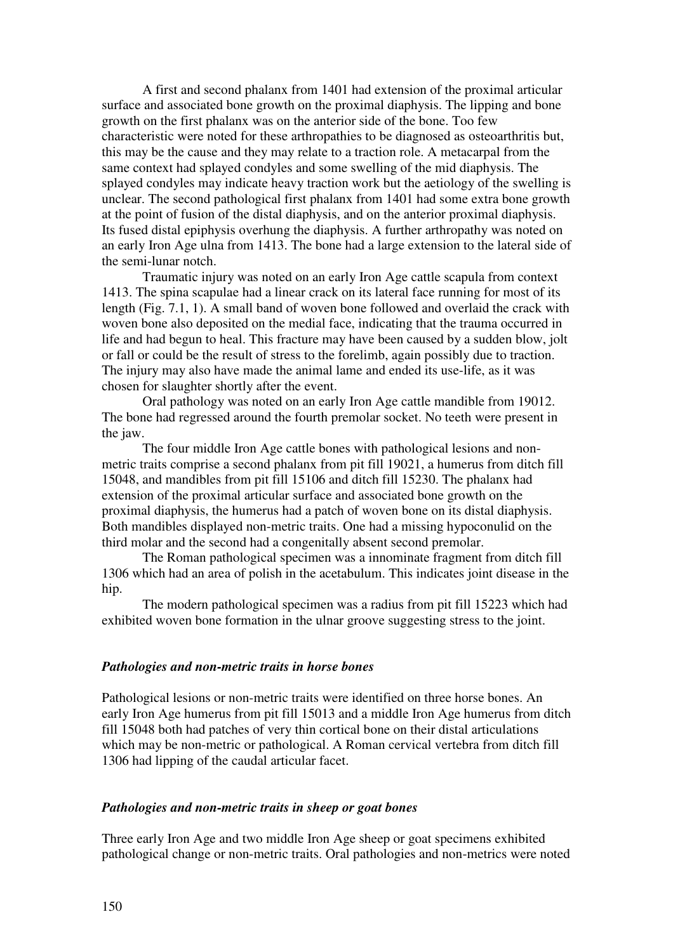A first and second phalanx from 1401 had extension of the proximal articular surface and associated bone growth on the proximal diaphysis. The lipping and bone growth on the first phalanx was on the anterior side of the bone. Too few characteristic were noted for these arthropathies to be diagnosed as osteoarthritis but, this may be the cause and they may relate to a traction role. A metacarpal from the same context had splayed condyles and some swelling of the mid diaphysis. The splayed condyles may indicate heavy traction work but the aetiology of the swelling is unclear. The second pathological first phalanx from 1401 had some extra bone growth at the point of fusion of the distal diaphysis, and on the anterior proximal diaphysis. Its fused distal epiphysis overhung the diaphysis. A further arthropathy was noted on an early Iron Age ulna from 1413. The bone had a large extension to the lateral side of the semi-lunar notch.

Traumatic injury was noted on an early Iron Age cattle scapula from context 1413. The spina scapulae had a linear crack on its lateral face running for most of its length (Fig. 7.1, 1). A small band of woven bone followed and overlaid the crack with woven bone also deposited on the medial face, indicating that the trauma occurred in life and had begun to heal. This fracture may have been caused by a sudden blow, jolt or fall or could be the result of stress to the forelimb, again possibly due to traction. The injury may also have made the animal lame and ended its use-life, as it was chosen for slaughter shortly after the event.

Oral pathology was noted on an early Iron Age cattle mandible from 19012. The bone had regressed around the fourth premolar socket. No teeth were present in the jaw.

The four middle Iron Age cattle bones with pathological lesions and nonmetric traits comprise a second phalanx from pit fill 19021, a humerus from ditch fill 15048, and mandibles from pit fill 15106 and ditch fill 15230. The phalanx had extension of the proximal articular surface and associated bone growth on the proximal diaphysis, the humerus had a patch of woven bone on its distal diaphysis. Both mandibles displayed non-metric traits. One had a missing hypoconulid on the third molar and the second had a congenitally absent second premolar.

The Roman pathological specimen was a innominate fragment from ditch fill 1306 which had an area of polish in the acetabulum. This indicates joint disease in the hip.

The modern pathological specimen was a radius from pit fill 15223 which had exhibited woven bone formation in the ulnar groove suggesting stress to the joint.

# *Pathologies and non-metric traits in horse bones*

Pathological lesions or non-metric traits were identified on three horse bones. An early Iron Age humerus from pit fill 15013 and a middle Iron Age humerus from ditch fill 15048 both had patches of very thin cortical bone on their distal articulations which may be non-metric or pathological. A Roman cervical vertebra from ditch fill 1306 had lipping of the caudal articular facet.

# *Pathologies and non-metric traits in sheep or goat bones*

Three early Iron Age and two middle Iron Age sheep or goat specimens exhibited pathological change or non-metric traits. Oral pathologies and non-metrics were noted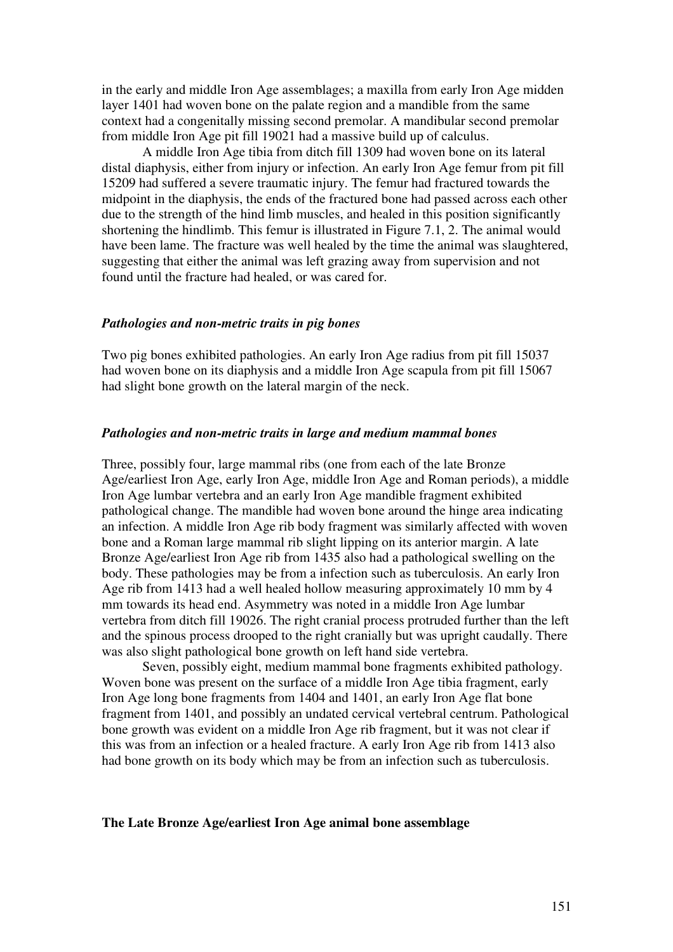in the early and middle Iron Age assemblages; a maxilla from early Iron Age midden layer 1401 had woven bone on the palate region and a mandible from the same context had a congenitally missing second premolar. A mandibular second premolar from middle Iron Age pit fill 19021 had a massive build up of calculus.

A middle Iron Age tibia from ditch fill 1309 had woven bone on its lateral distal diaphysis, either from injury or infection. An early Iron Age femur from pit fill 15209 had suffered a severe traumatic injury. The femur had fractured towards the midpoint in the diaphysis, the ends of the fractured bone had passed across each other due to the strength of the hind limb muscles, and healed in this position significantly shortening the hindlimb. This femur is illustrated in Figure 7.1, 2. The animal would have been lame. The fracture was well healed by the time the animal was slaughtered, suggesting that either the animal was left grazing away from supervision and not found until the fracture had healed, or was cared for.

# *Pathologies and non-metric traits in pig bones*

Two pig bones exhibited pathologies. An early Iron Age radius from pit fill 15037 had woven bone on its diaphysis and a middle Iron Age scapula from pit fill 15067 had slight bone growth on the lateral margin of the neck.

#### *Pathologies and non-metric traits in large and medium mammal bones*

Three, possibly four, large mammal ribs (one from each of the late Bronze Age/earliest Iron Age, early Iron Age, middle Iron Age and Roman periods), a middle Iron Age lumbar vertebra and an early Iron Age mandible fragment exhibited pathological change. The mandible had woven bone around the hinge area indicating an infection. A middle Iron Age rib body fragment was similarly affected with woven bone and a Roman large mammal rib slight lipping on its anterior margin. A late Bronze Age/earliest Iron Age rib from 1435 also had a pathological swelling on the body. These pathologies may be from a infection such as tuberculosis. An early Iron Age rib from 1413 had a well healed hollow measuring approximately 10 mm by 4 mm towards its head end. Asymmetry was noted in a middle Iron Age lumbar vertebra from ditch fill 19026. The right cranial process protruded further than the left and the spinous process drooped to the right cranially but was upright caudally. There was also slight pathological bone growth on left hand side vertebra.

Seven, possibly eight, medium mammal bone fragments exhibited pathology. Woven bone was present on the surface of a middle Iron Age tibia fragment, early Iron Age long bone fragments from 1404 and 1401, an early Iron Age flat bone fragment from 1401, and possibly an undated cervical vertebral centrum. Pathological bone growth was evident on a middle Iron Age rib fragment, but it was not clear if this was from an infection or a healed fracture. A early Iron Age rib from 1413 also had bone growth on its body which may be from an infection such as tuberculosis.

## **The Late Bronze Age/earliest Iron Age animal bone assemblage**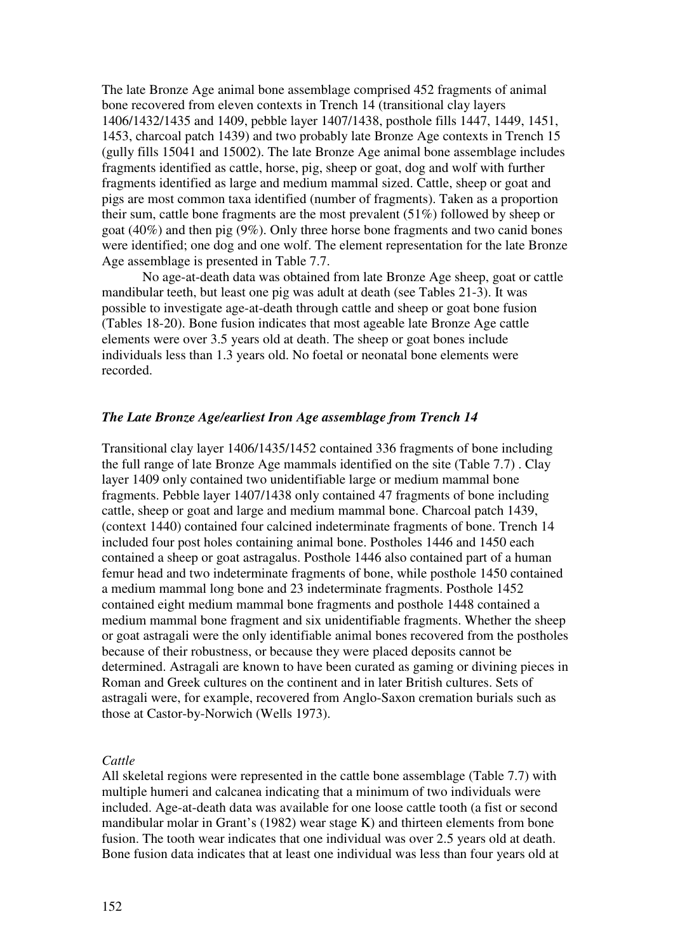The late Bronze Age animal bone assemblage comprised 452 fragments of animal bone recovered from eleven contexts in Trench 14 (transitional clay layers 1406/1432/1435 and 1409, pebble layer 1407/1438, posthole fills 1447, 1449, 1451, 1453, charcoal patch 1439) and two probably late Bronze Age contexts in Trench 15 (gully fills 15041 and 15002). The late Bronze Age animal bone assemblage includes fragments identified as cattle, horse, pig, sheep or goat, dog and wolf with further fragments identified as large and medium mammal sized. Cattle, sheep or goat and pigs are most common taxa identified (number of fragments). Taken as a proportion their sum, cattle bone fragments are the most prevalent (51%) followed by sheep or goat (40%) and then pig (9%). Only three horse bone fragments and two canid bones were identified; one dog and one wolf. The element representation for the late Bronze Age assemblage is presented in Table 7.7.

No age-at-death data was obtained from late Bronze Age sheep, goat or cattle mandibular teeth, but least one pig was adult at death (see Tables 21-3). It was possible to investigate age-at-death through cattle and sheep or goat bone fusion (Tables 18-20). Bone fusion indicates that most ageable late Bronze Age cattle elements were over 3.5 years old at death. The sheep or goat bones include individuals less than 1.3 years old. No foetal or neonatal bone elements were recorded.

# *The Late Bronze Age/earliest Iron Age assemblage from Trench 14*

Transitional clay layer 1406/1435/1452 contained 336 fragments of bone including the full range of late Bronze Age mammals identified on the site (Table 7.7) . Clay layer 1409 only contained two unidentifiable large or medium mammal bone fragments. Pebble layer 1407/1438 only contained 47 fragments of bone including cattle, sheep or goat and large and medium mammal bone. Charcoal patch 1439, (context 1440) contained four calcined indeterminate fragments of bone. Trench 14 included four post holes containing animal bone. Postholes 1446 and 1450 each contained a sheep or goat astragalus. Posthole 1446 also contained part of a human femur head and two indeterminate fragments of bone, while posthole 1450 contained a medium mammal long bone and 23 indeterminate fragments. Posthole 1452 contained eight medium mammal bone fragments and posthole 1448 contained a medium mammal bone fragment and six unidentifiable fragments. Whether the sheep or goat astragali were the only identifiable animal bones recovered from the postholes because of their robustness, or because they were placed deposits cannot be determined. Astragali are known to have been curated as gaming or divining pieces in Roman and Greek cultures on the continent and in later British cultures. Sets of astragali were, for example, recovered from Anglo-Saxon cremation burials such as those at Castor-by-Norwich (Wells 1973).

# *Cattle*

All skeletal regions were represented in the cattle bone assemblage (Table 7.7) with multiple humeri and calcanea indicating that a minimum of two individuals were included. Age-at-death data was available for one loose cattle tooth (a fist or second mandibular molar in Grant's (1982) wear stage K) and thirteen elements from bone fusion. The tooth wear indicates that one individual was over 2.5 years old at death. Bone fusion data indicates that at least one individual was less than four years old at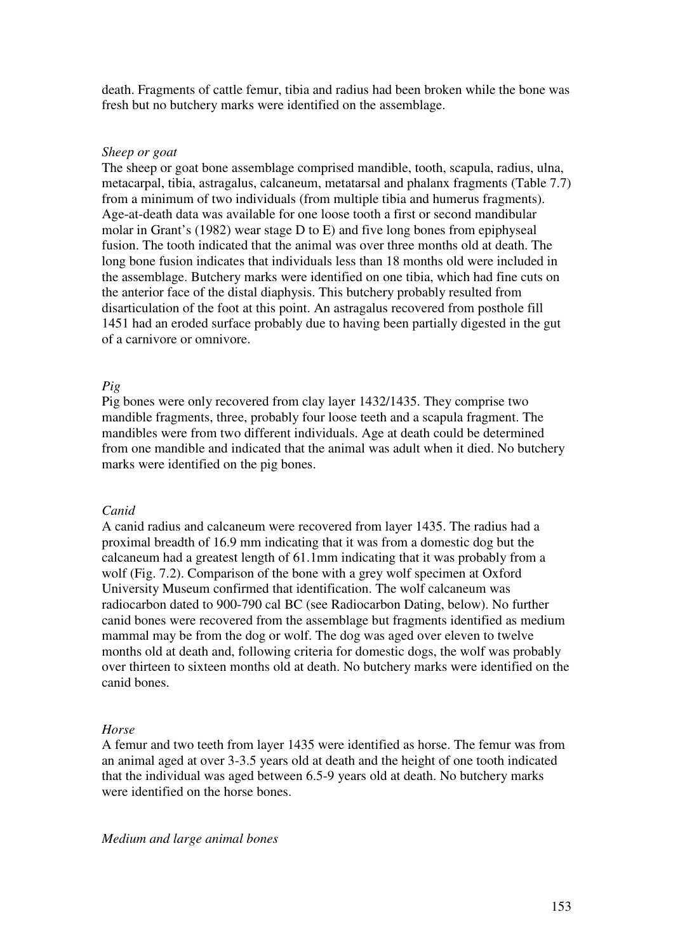death. Fragments of cattle femur, tibia and radius had been broken while the bone was fresh but no butchery marks were identified on the assemblage.

#### *Sheep or goat*

The sheep or goat bone assemblage comprised mandible, tooth, scapula, radius, ulna, metacarpal, tibia, astragalus, calcaneum, metatarsal and phalanx fragments (Table 7.7) from a minimum of two individuals (from multiple tibia and humerus fragments). Age-at-death data was available for one loose tooth a first or second mandibular molar in Grant's (1982) wear stage D to E) and five long bones from epiphyseal fusion. The tooth indicated that the animal was over three months old at death. The long bone fusion indicates that individuals less than 18 months old were included in the assemblage. Butchery marks were identified on one tibia, which had fine cuts on the anterior face of the distal diaphysis. This butchery probably resulted from disarticulation of the foot at this point. An astragalus recovered from posthole fill 1451 had an eroded surface probably due to having been partially digested in the gut of a carnivore or omnivore.

# *Pig*

Pig bones were only recovered from clay layer 1432/1435. They comprise two mandible fragments, three, probably four loose teeth and a scapula fragment. The mandibles were from two different individuals. Age at death could be determined from one mandible and indicated that the animal was adult when it died. No butchery marks were identified on the pig bones.

#### *Canid*

A canid radius and calcaneum were recovered from layer 1435. The radius had a proximal breadth of 16.9 mm indicating that it was from a domestic dog but the calcaneum had a greatest length of 61.1mm indicating that it was probably from a wolf (Fig. 7.2). Comparison of the bone with a grey wolf specimen at Oxford University Museum confirmed that identification. The wolf calcaneum was radiocarbon dated to 900-790 cal BC (see Radiocarbon Dating, below). No further canid bones were recovered from the assemblage but fragments identified as medium mammal may be from the dog or wolf. The dog was aged over eleven to twelve months old at death and, following criteria for domestic dogs, the wolf was probably over thirteen to sixteen months old at death. No butchery marks were identified on the canid bones.

#### *Horse*

A femur and two teeth from layer 1435 were identified as horse. The femur was from an animal aged at over 3-3.5 years old at death and the height of one tooth indicated that the individual was aged between 6.5-9 years old at death. No butchery marks were identified on the horse bones.

*Medium and large animal bones*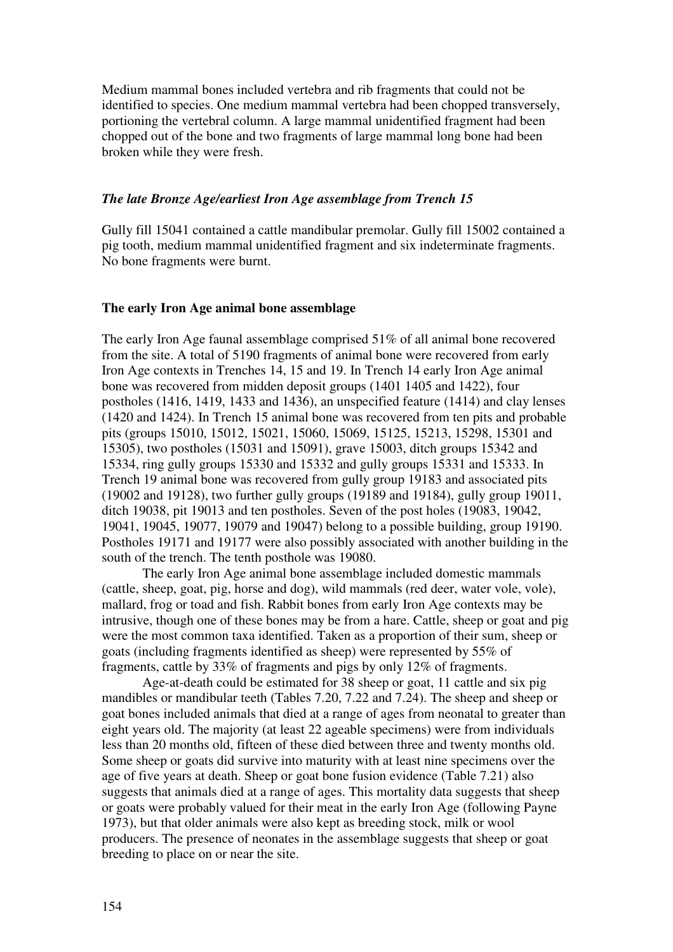Medium mammal bones included vertebra and rib fragments that could not be identified to species. One medium mammal vertebra had been chopped transversely, portioning the vertebral column. A large mammal unidentified fragment had been chopped out of the bone and two fragments of large mammal long bone had been broken while they were fresh.

# *The late Bronze Age/earliest Iron Age assemblage from Trench 15*

Gully fill 15041 contained a cattle mandibular premolar. Gully fill 15002 contained a pig tooth, medium mammal unidentified fragment and six indeterminate fragments. No bone fragments were burnt.

## **The early Iron Age animal bone assemblage**

The early Iron Age faunal assemblage comprised 51% of all animal bone recovered from the site. A total of 5190 fragments of animal bone were recovered from early Iron Age contexts in Trenches 14, 15 and 19. In Trench 14 early Iron Age animal bone was recovered from midden deposit groups (1401 1405 and 1422), four postholes (1416, 1419, 1433 and 1436), an unspecified feature (1414) and clay lenses (1420 and 1424). In Trench 15 animal bone was recovered from ten pits and probable pits (groups 15010, 15012, 15021, 15060, 15069, 15125, 15213, 15298, 15301 and 15305), two postholes (15031 and 15091), grave 15003, ditch groups 15342 and 15334, ring gully groups 15330 and 15332 and gully groups 15331 and 15333. In Trench 19 animal bone was recovered from gully group 19183 and associated pits (19002 and 19128), two further gully groups (19189 and 19184), gully group 19011, ditch 19038, pit 19013 and ten postholes. Seven of the post holes (19083, 19042, 19041, 19045, 19077, 19079 and 19047) belong to a possible building, group 19190. Postholes 19171 and 19177 were also possibly associated with another building in the south of the trench. The tenth posthole was 19080.

The early Iron Age animal bone assemblage included domestic mammals (cattle, sheep, goat, pig, horse and dog), wild mammals (red deer, water vole, vole), mallard, frog or toad and fish. Rabbit bones from early Iron Age contexts may be intrusive, though one of these bones may be from a hare. Cattle, sheep or goat and pig were the most common taxa identified. Taken as a proportion of their sum, sheep or goats (including fragments identified as sheep) were represented by 55% of fragments, cattle by 33% of fragments and pigs by only 12% of fragments.

Age-at-death could be estimated for 38 sheep or goat, 11 cattle and six pig mandibles or mandibular teeth (Tables 7.20, 7.22 and 7.24). The sheep and sheep or goat bones included animals that died at a range of ages from neonatal to greater than eight years old. The majority (at least 22 ageable specimens) were from individuals less than 20 months old, fifteen of these died between three and twenty months old. Some sheep or goats did survive into maturity with at least nine specimens over the age of five years at death. Sheep or goat bone fusion evidence (Table 7.21) also suggests that animals died at a range of ages. This mortality data suggests that sheep or goats were probably valued for their meat in the early Iron Age (following Payne 1973), but that older animals were also kept as breeding stock, milk or wool producers. The presence of neonates in the assemblage suggests that sheep or goat breeding to place on or near the site.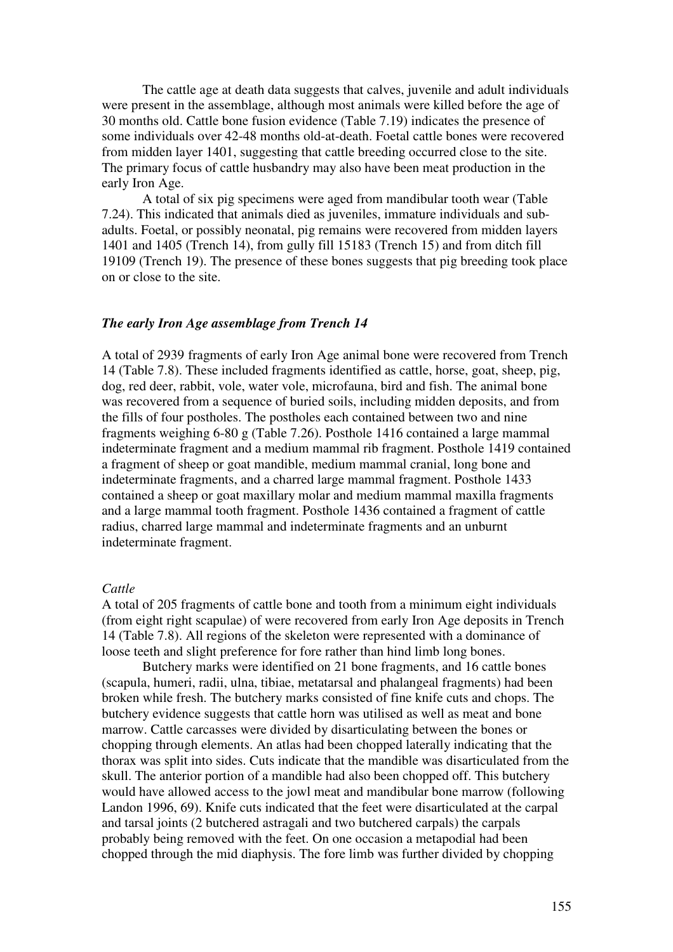The cattle age at death data suggests that calves, juvenile and adult individuals were present in the assemblage, although most animals were killed before the age of 30 months old. Cattle bone fusion evidence (Table 7.19) indicates the presence of some individuals over 42-48 months old-at-death. Foetal cattle bones were recovered from midden layer 1401, suggesting that cattle breeding occurred close to the site. The primary focus of cattle husbandry may also have been meat production in the early Iron Age.

A total of six pig specimens were aged from mandibular tooth wear (Table 7.24). This indicated that animals died as juveniles, immature individuals and subadults. Foetal, or possibly neonatal, pig remains were recovered from midden layers 1401 and 1405 (Trench 14), from gully fill 15183 (Trench 15) and from ditch fill 19109 (Trench 19). The presence of these bones suggests that pig breeding took place on or close to the site.

# *The early Iron Age assemblage from Trench 14*

A total of 2939 fragments of early Iron Age animal bone were recovered from Trench 14 (Table 7.8). These included fragments identified as cattle, horse, goat, sheep, pig, dog, red deer, rabbit, vole, water vole, microfauna, bird and fish. The animal bone was recovered from a sequence of buried soils, including midden deposits, and from the fills of four postholes. The postholes each contained between two and nine fragments weighing 6-80 g (Table 7.26). Posthole 1416 contained a large mammal indeterminate fragment and a medium mammal rib fragment. Posthole 1419 contained a fragment of sheep or goat mandible, medium mammal cranial, long bone and indeterminate fragments, and a charred large mammal fragment. Posthole 1433 contained a sheep or goat maxillary molar and medium mammal maxilla fragments and a large mammal tooth fragment. Posthole 1436 contained a fragment of cattle radius, charred large mammal and indeterminate fragments and an unburnt indeterminate fragment.

## *Cattle*

A total of 205 fragments of cattle bone and tooth from a minimum eight individuals (from eight right scapulae) of were recovered from early Iron Age deposits in Trench 14 (Table 7.8). All regions of the skeleton were represented with a dominance of loose teeth and slight preference for fore rather than hind limb long bones.

Butchery marks were identified on 21 bone fragments, and 16 cattle bones (scapula, humeri, radii, ulna, tibiae, metatarsal and phalangeal fragments) had been broken while fresh. The butchery marks consisted of fine knife cuts and chops. The butchery evidence suggests that cattle horn was utilised as well as meat and bone marrow. Cattle carcasses were divided by disarticulating between the bones or chopping through elements. An atlas had been chopped laterally indicating that the thorax was split into sides. Cuts indicate that the mandible was disarticulated from the skull. The anterior portion of a mandible had also been chopped off. This butchery would have allowed access to the jowl meat and mandibular bone marrow (following Landon 1996, 69). Knife cuts indicated that the feet were disarticulated at the carpal and tarsal joints (2 butchered astragali and two butchered carpals) the carpals probably being removed with the feet. On one occasion a metapodial had been chopped through the mid diaphysis. The fore limb was further divided by chopping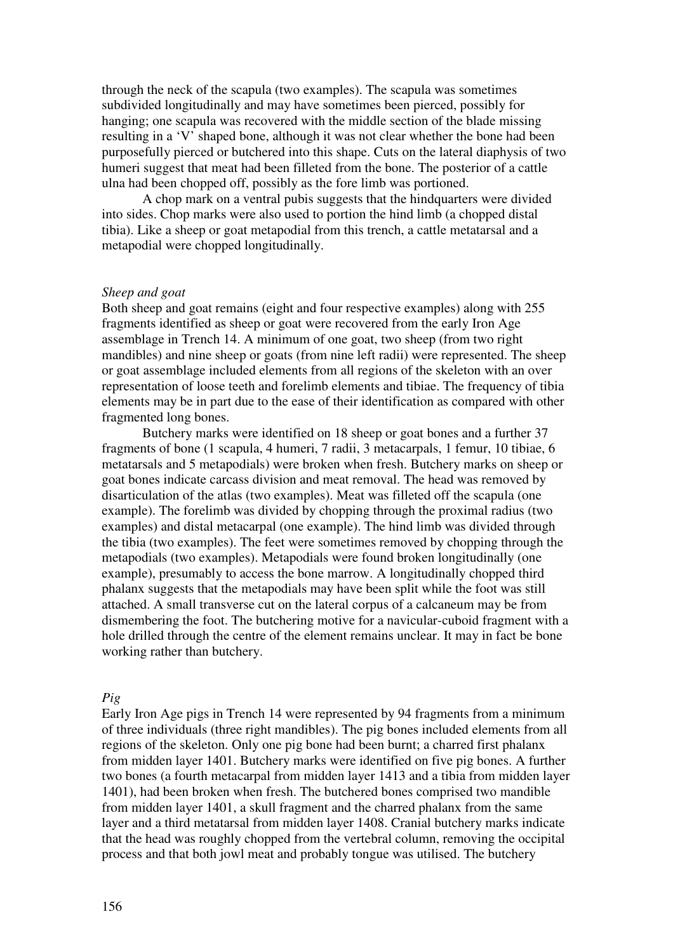through the neck of the scapula (two examples). The scapula was sometimes subdivided longitudinally and may have sometimes been pierced, possibly for hanging; one scapula was recovered with the middle section of the blade missing resulting in a 'V' shaped bone, although it was not clear whether the bone had been purposefully pierced or butchered into this shape. Cuts on the lateral diaphysis of two humeri suggest that meat had been filleted from the bone. The posterior of a cattle ulna had been chopped off, possibly as the fore limb was portioned.

A chop mark on a ventral pubis suggests that the hindquarters were divided into sides. Chop marks were also used to portion the hind limb (a chopped distal tibia). Like a sheep or goat metapodial from this trench, a cattle metatarsal and a metapodial were chopped longitudinally.

## *Sheep and goat*

Both sheep and goat remains (eight and four respective examples) along with 255 fragments identified as sheep or goat were recovered from the early Iron Age assemblage in Trench 14. A minimum of one goat, two sheep (from two right mandibles) and nine sheep or goats (from nine left radii) were represented. The sheep or goat assemblage included elements from all regions of the skeleton with an over representation of loose teeth and forelimb elements and tibiae. The frequency of tibia elements may be in part due to the ease of their identification as compared with other fragmented long bones.

Butchery marks were identified on 18 sheep or goat bones and a further 37 fragments of bone (1 scapula, 4 humeri, 7 radii, 3 metacarpals, 1 femur, 10 tibiae, 6 metatarsals and 5 metapodials) were broken when fresh. Butchery marks on sheep or goat bones indicate carcass division and meat removal. The head was removed by disarticulation of the atlas (two examples). Meat was filleted off the scapula (one example). The forelimb was divided by chopping through the proximal radius (two examples) and distal metacarpal (one example). The hind limb was divided through the tibia (two examples). The feet were sometimes removed by chopping through the metapodials (two examples). Metapodials were found broken longitudinally (one example), presumably to access the bone marrow. A longitudinally chopped third phalanx suggests that the metapodials may have been split while the foot was still attached. A small transverse cut on the lateral corpus of a calcaneum may be from dismembering the foot. The butchering motive for a navicular-cuboid fragment with a hole drilled through the centre of the element remains unclear. It may in fact be bone working rather than butchery.

#### *Pig*

Early Iron Age pigs in Trench 14 were represented by 94 fragments from a minimum of three individuals (three right mandibles). The pig bones included elements from all regions of the skeleton. Only one pig bone had been burnt; a charred first phalanx from midden layer 1401. Butchery marks were identified on five pig bones. A further two bones (a fourth metacarpal from midden layer 1413 and a tibia from midden layer 1401), had been broken when fresh. The butchered bones comprised two mandible from midden layer 1401, a skull fragment and the charred phalanx from the same layer and a third metatarsal from midden layer 1408. Cranial butchery marks indicate that the head was roughly chopped from the vertebral column, removing the occipital process and that both jowl meat and probably tongue was utilised. The butchery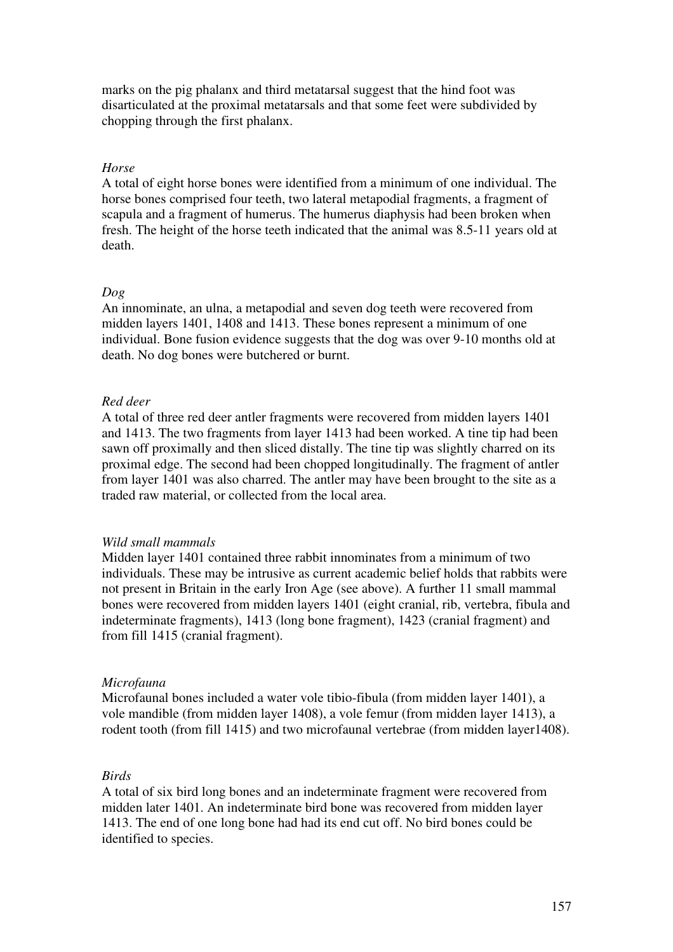marks on the pig phalanx and third metatarsal suggest that the hind foot was disarticulated at the proximal metatarsals and that some feet were subdivided by chopping through the first phalanx.

# *Horse*

A total of eight horse bones were identified from a minimum of one individual. The horse bones comprised four teeth, two lateral metapodial fragments, a fragment of scapula and a fragment of humerus. The humerus diaphysis had been broken when fresh. The height of the horse teeth indicated that the animal was 8.5-11 years old at death.

# *Dog*

An innominate, an ulna, a metapodial and seven dog teeth were recovered from midden layers 1401, 1408 and 1413. These bones represent a minimum of one individual. Bone fusion evidence suggests that the dog was over 9-10 months old at death. No dog bones were butchered or burnt.

# *Red deer*

A total of three red deer antler fragments were recovered from midden layers 1401 and 1413. The two fragments from layer 1413 had been worked. A tine tip had been sawn off proximally and then sliced distally. The tine tip was slightly charred on its proximal edge. The second had been chopped longitudinally. The fragment of antler from layer 1401 was also charred. The antler may have been brought to the site as a traded raw material, or collected from the local area.

#### *Wild small mammals*

Midden layer 1401 contained three rabbit innominates from a minimum of two individuals. These may be intrusive as current academic belief holds that rabbits were not present in Britain in the early Iron Age (see above). A further 11 small mammal bones were recovered from midden layers 1401 (eight cranial, rib, vertebra, fibula and indeterminate fragments), 1413 (long bone fragment), 1423 (cranial fragment) and from fill 1415 (cranial fragment).

## *Microfauna*

Microfaunal bones included a water vole tibio-fibula (from midden layer 1401), a vole mandible (from midden layer 1408), a vole femur (from midden layer 1413), a rodent tooth (from fill 1415) and two microfaunal vertebrae (from midden layer1408).

#### *Birds*

A total of six bird long bones and an indeterminate fragment were recovered from midden later 1401. An indeterminate bird bone was recovered from midden layer 1413. The end of one long bone had had its end cut off. No bird bones could be identified to species.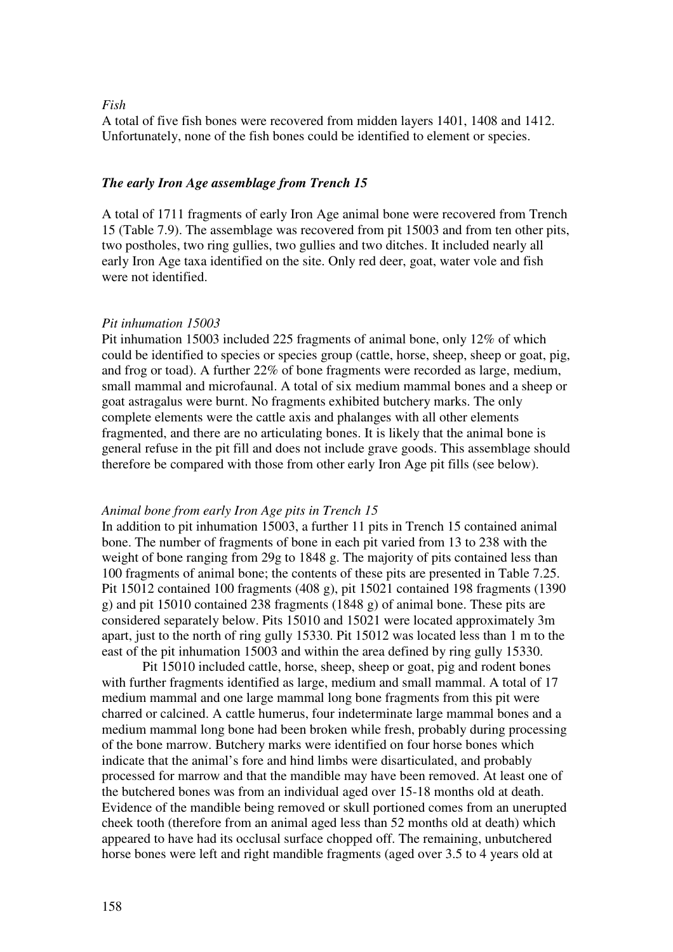## *Fish*

A total of five fish bones were recovered from midden layers 1401, 1408 and 1412. Unfortunately, none of the fish bones could be identified to element or species.

#### *The early Iron Age assemblage from Trench 15*

A total of 1711 fragments of early Iron Age animal bone were recovered from Trench 15 (Table 7.9). The assemblage was recovered from pit 15003 and from ten other pits, two postholes, two ring gullies, two gullies and two ditches. It included nearly all early Iron Age taxa identified on the site. Only red deer, goat, water vole and fish were not identified.

#### *Pit inhumation 15003*

Pit inhumation 15003 included 225 fragments of animal bone, only 12% of which could be identified to species or species group (cattle, horse, sheep, sheep or goat, pig, and frog or toad). A further 22% of bone fragments were recorded as large, medium, small mammal and microfaunal. A total of six medium mammal bones and a sheep or goat astragalus were burnt. No fragments exhibited butchery marks. The only complete elements were the cattle axis and phalanges with all other elements fragmented, and there are no articulating bones. It is likely that the animal bone is general refuse in the pit fill and does not include grave goods. This assemblage should therefore be compared with those from other early Iron Age pit fills (see below).

## *Animal bone from early Iron Age pits in Trench 15*

In addition to pit inhumation 15003, a further 11 pits in Trench 15 contained animal bone. The number of fragments of bone in each pit varied from 13 to 238 with the weight of bone ranging from 29g to 1848 g. The majority of pits contained less than 100 fragments of animal bone; the contents of these pits are presented in Table 7.25. Pit 15012 contained 100 fragments (408 g), pit 15021 contained 198 fragments (1390 g) and pit 15010 contained 238 fragments (1848 g) of animal bone. These pits are considered separately below. Pits 15010 and 15021 were located approximately 3m apart, just to the north of ring gully 15330. Pit 15012 was located less than 1 m to the east of the pit inhumation 15003 and within the area defined by ring gully 15330.

Pit 15010 included cattle, horse, sheep, sheep or goat, pig and rodent bones with further fragments identified as large, medium and small mammal. A total of 17 medium mammal and one large mammal long bone fragments from this pit were charred or calcined. A cattle humerus, four indeterminate large mammal bones and a medium mammal long bone had been broken while fresh, probably during processing of the bone marrow. Butchery marks were identified on four horse bones which indicate that the animal's fore and hind limbs were disarticulated, and probably processed for marrow and that the mandible may have been removed. At least one of the butchered bones was from an individual aged over 15-18 months old at death. Evidence of the mandible being removed or skull portioned comes from an unerupted cheek tooth (therefore from an animal aged less than 52 months old at death) which appeared to have had its occlusal surface chopped off. The remaining, unbutchered horse bones were left and right mandible fragments (aged over 3.5 to 4 years old at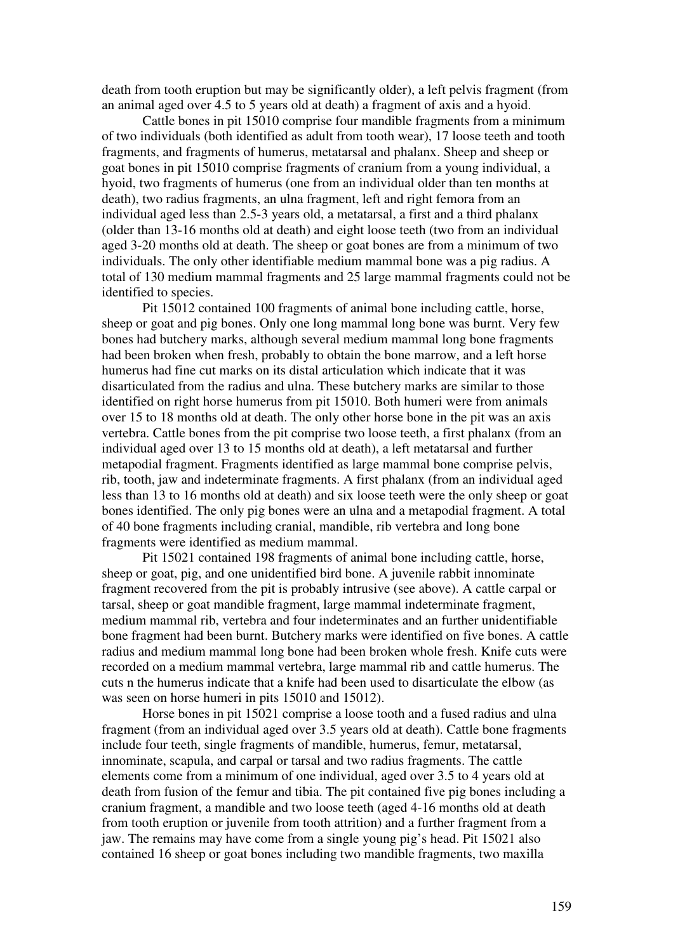death from tooth eruption but may be significantly older), a left pelvis fragment (from an animal aged over 4.5 to 5 years old at death) a fragment of axis and a hyoid.

Cattle bones in pit 15010 comprise four mandible fragments from a minimum of two individuals (both identified as adult from tooth wear), 17 loose teeth and tooth fragments, and fragments of humerus, metatarsal and phalanx. Sheep and sheep or goat bones in pit 15010 comprise fragments of cranium from a young individual, a hyoid, two fragments of humerus (one from an individual older than ten months at death), two radius fragments, an ulna fragment, left and right femora from an individual aged less than 2.5-3 years old, a metatarsal, a first and a third phalanx (older than 13-16 months old at death) and eight loose teeth (two from an individual aged 3-20 months old at death. The sheep or goat bones are from a minimum of two individuals. The only other identifiable medium mammal bone was a pig radius. A total of 130 medium mammal fragments and 25 large mammal fragments could not be identified to species.

Pit 15012 contained 100 fragments of animal bone including cattle, horse, sheep or goat and pig bones. Only one long mammal long bone was burnt. Very few bones had butchery marks, although several medium mammal long bone fragments had been broken when fresh, probably to obtain the bone marrow, and a left horse humerus had fine cut marks on its distal articulation which indicate that it was disarticulated from the radius and ulna. These butchery marks are similar to those identified on right horse humerus from pit 15010. Both humeri were from animals over 15 to 18 months old at death. The only other horse bone in the pit was an axis vertebra. Cattle bones from the pit comprise two loose teeth, a first phalanx (from an individual aged over 13 to 15 months old at death), a left metatarsal and further metapodial fragment. Fragments identified as large mammal bone comprise pelvis, rib, tooth, jaw and indeterminate fragments. A first phalanx (from an individual aged less than 13 to 16 months old at death) and six loose teeth were the only sheep or goat bones identified. The only pig bones were an ulna and a metapodial fragment. A total of 40 bone fragments including cranial, mandible, rib vertebra and long bone fragments were identified as medium mammal.

Pit 15021 contained 198 fragments of animal bone including cattle, horse, sheep or goat, pig, and one unidentified bird bone. A juvenile rabbit innominate fragment recovered from the pit is probably intrusive (see above). A cattle carpal or tarsal, sheep or goat mandible fragment, large mammal indeterminate fragment, medium mammal rib, vertebra and four indeterminates and an further unidentifiable bone fragment had been burnt. Butchery marks were identified on five bones. A cattle radius and medium mammal long bone had been broken whole fresh. Knife cuts were recorded on a medium mammal vertebra, large mammal rib and cattle humerus. The cuts n the humerus indicate that a knife had been used to disarticulate the elbow (as was seen on horse humeri in pits 15010 and 15012).

Horse bones in pit 15021 comprise a loose tooth and a fused radius and ulna fragment (from an individual aged over 3.5 years old at death). Cattle bone fragments include four teeth, single fragments of mandible, humerus, femur, metatarsal, innominate, scapula, and carpal or tarsal and two radius fragments. The cattle elements come from a minimum of one individual, aged over 3.5 to 4 years old at death from fusion of the femur and tibia. The pit contained five pig bones including a cranium fragment, a mandible and two loose teeth (aged 4-16 months old at death from tooth eruption or juvenile from tooth attrition) and a further fragment from a jaw. The remains may have come from a single young pig's head. Pit 15021 also contained 16 sheep or goat bones including two mandible fragments, two maxilla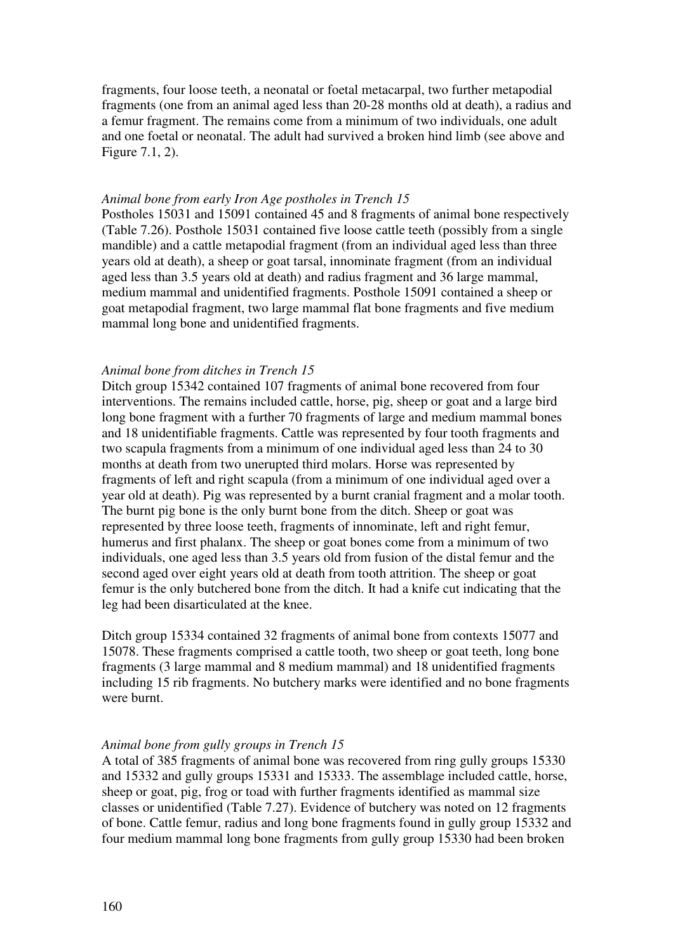fragments, four loose teeth, a neonatal or foetal metacarpal, two further metapodial fragments (one from an animal aged less than 20-28 months old at death), a radius and a femur fragment. The remains come from a minimum of two individuals, one adult and one foetal or neonatal. The adult had survived a broken hind limb (see above and Figure 7.1, 2).

## *Animal bone from early Iron Age postholes in Trench 15*

Postholes 15031 and 15091 contained 45 and 8 fragments of animal bone respectively (Table 7.26). Posthole 15031 contained five loose cattle teeth (possibly from a single mandible) and a cattle metapodial fragment (from an individual aged less than three years old at death), a sheep or goat tarsal, innominate fragment (from an individual aged less than 3.5 years old at death) and radius fragment and 36 large mammal, medium mammal and unidentified fragments. Posthole 15091 contained a sheep or goat metapodial fragment, two large mammal flat bone fragments and five medium mammal long bone and unidentified fragments.

#### *Animal bone from ditches in Trench 15*

Ditch group 15342 contained 107 fragments of animal bone recovered from four interventions. The remains included cattle, horse, pig, sheep or goat and a large bird long bone fragment with a further 70 fragments of large and medium mammal bones and 18 unidentifiable fragments. Cattle was represented by four tooth fragments and two scapula fragments from a minimum of one individual aged less than 24 to 30 months at death from two unerupted third molars. Horse was represented by fragments of left and right scapula (from a minimum of one individual aged over a year old at death). Pig was represented by a burnt cranial fragment and a molar tooth. The burnt pig bone is the only burnt bone from the ditch. Sheep or goat was represented by three loose teeth, fragments of innominate, left and right femur, humerus and first phalanx. The sheep or goat bones come from a minimum of two individuals, one aged less than 3.5 years old from fusion of the distal femur and the second aged over eight years old at death from tooth attrition. The sheep or goat femur is the only butchered bone from the ditch. It had a knife cut indicating that the leg had been disarticulated at the knee.

Ditch group 15334 contained 32 fragments of animal bone from contexts 15077 and 15078. These fragments comprised a cattle tooth, two sheep or goat teeth, long bone fragments (3 large mammal and 8 medium mammal) and 18 unidentified fragments including 15 rib fragments. No butchery marks were identified and no bone fragments were burnt.

#### *Animal bone from gully groups in Trench 15*

A total of 385 fragments of animal bone was recovered from ring gully groups 15330 and 15332 and gully groups 15331 and 15333. The assemblage included cattle, horse, sheep or goat, pig, frog or toad with further fragments identified as mammal size classes or unidentified (Table 7.27). Evidence of butchery was noted on 12 fragments of bone. Cattle femur, radius and long bone fragments found in gully group 15332 and four medium mammal long bone fragments from gully group 15330 had been broken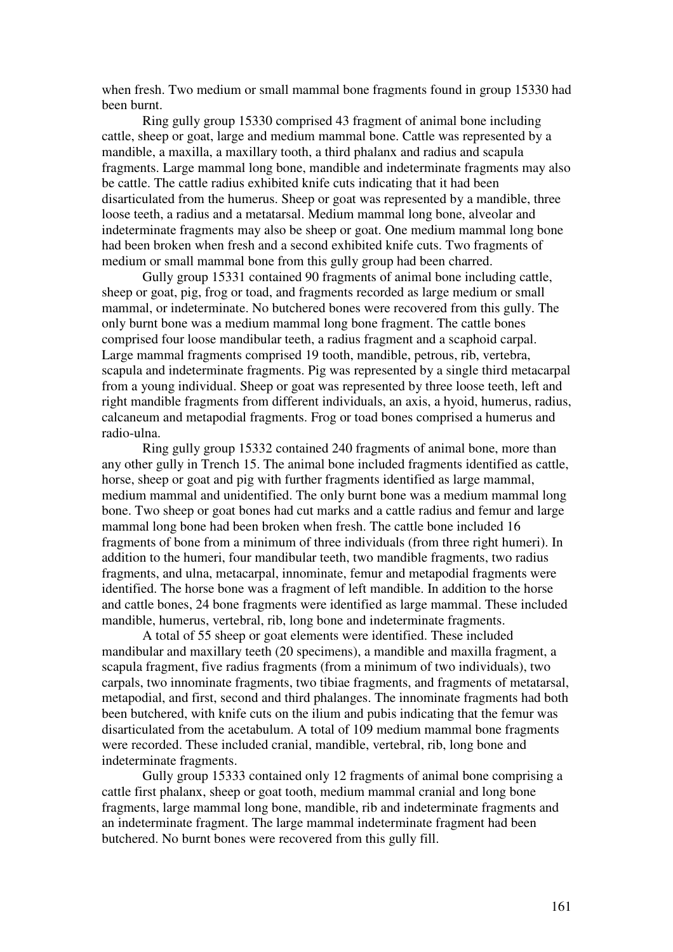when fresh. Two medium or small mammal bone fragments found in group 15330 had been burnt.

Ring gully group 15330 comprised 43 fragment of animal bone including cattle, sheep or goat, large and medium mammal bone. Cattle was represented by a mandible, a maxilla, a maxillary tooth, a third phalanx and radius and scapula fragments. Large mammal long bone, mandible and indeterminate fragments may also be cattle. The cattle radius exhibited knife cuts indicating that it had been disarticulated from the humerus. Sheep or goat was represented by a mandible, three loose teeth, a radius and a metatarsal. Medium mammal long bone, alveolar and indeterminate fragments may also be sheep or goat. One medium mammal long bone had been broken when fresh and a second exhibited knife cuts. Two fragments of medium or small mammal bone from this gully group had been charred.

Gully group 15331 contained 90 fragments of animal bone including cattle, sheep or goat, pig, frog or toad, and fragments recorded as large medium or small mammal, or indeterminate. No butchered bones were recovered from this gully. The only burnt bone was a medium mammal long bone fragment. The cattle bones comprised four loose mandibular teeth, a radius fragment and a scaphoid carpal. Large mammal fragments comprised 19 tooth, mandible, petrous, rib, vertebra, scapula and indeterminate fragments. Pig was represented by a single third metacarpal from a young individual. Sheep or goat was represented by three loose teeth, left and right mandible fragments from different individuals, an axis, a hyoid, humerus, radius, calcaneum and metapodial fragments. Frog or toad bones comprised a humerus and radio-ulna.

Ring gully group 15332 contained 240 fragments of animal bone, more than any other gully in Trench 15. The animal bone included fragments identified as cattle, horse, sheep or goat and pig with further fragments identified as large mammal, medium mammal and unidentified. The only burnt bone was a medium mammal long bone. Two sheep or goat bones had cut marks and a cattle radius and femur and large mammal long bone had been broken when fresh. The cattle bone included 16 fragments of bone from a minimum of three individuals (from three right humeri). In addition to the humeri, four mandibular teeth, two mandible fragments, two radius fragments, and ulna, metacarpal, innominate, femur and metapodial fragments were identified. The horse bone was a fragment of left mandible. In addition to the horse and cattle bones, 24 bone fragments were identified as large mammal. These included mandible, humerus, vertebral, rib, long bone and indeterminate fragments.

A total of 55 sheep or goat elements were identified. These included mandibular and maxillary teeth (20 specimens), a mandible and maxilla fragment, a scapula fragment, five radius fragments (from a minimum of two individuals), two carpals, two innominate fragments, two tibiae fragments, and fragments of metatarsal, metapodial, and first, second and third phalanges. The innominate fragments had both been butchered, with knife cuts on the ilium and pubis indicating that the femur was disarticulated from the acetabulum. A total of 109 medium mammal bone fragments were recorded. These included cranial, mandible, vertebral, rib, long bone and indeterminate fragments.

Gully group 15333 contained only 12 fragments of animal bone comprising a cattle first phalanx, sheep or goat tooth, medium mammal cranial and long bone fragments, large mammal long bone, mandible, rib and indeterminate fragments and an indeterminate fragment. The large mammal indeterminate fragment had been butchered. No burnt bones were recovered from this gully fill.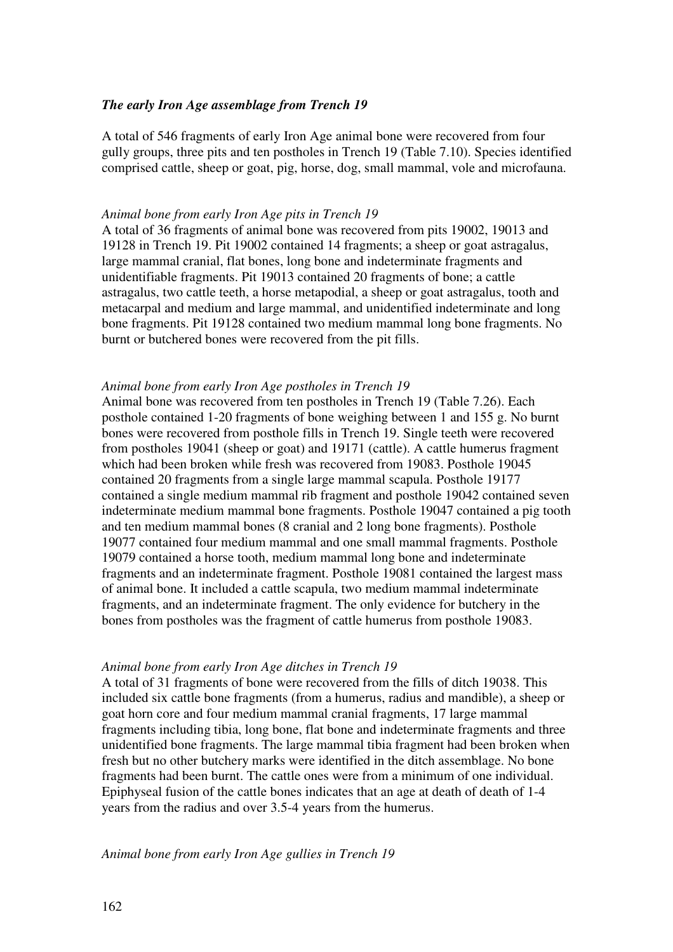# *The early Iron Age assemblage from Trench 19*

A total of 546 fragments of early Iron Age animal bone were recovered from four gully groups, three pits and ten postholes in Trench 19 (Table 7.10). Species identified comprised cattle, sheep or goat, pig, horse, dog, small mammal, vole and microfauna.

## *Animal bone from early Iron Age pits in Trench 19*

A total of 36 fragments of animal bone was recovered from pits 19002, 19013 and 19128 in Trench 19. Pit 19002 contained 14 fragments; a sheep or goat astragalus, large mammal cranial, flat bones, long bone and indeterminate fragments and unidentifiable fragments. Pit 19013 contained 20 fragments of bone; a cattle astragalus, two cattle teeth, a horse metapodial, a sheep or goat astragalus, tooth and metacarpal and medium and large mammal, and unidentified indeterminate and long bone fragments. Pit 19128 contained two medium mammal long bone fragments. No burnt or butchered bones were recovered from the pit fills.

## *Animal bone from early Iron Age postholes in Trench 19*

Animal bone was recovered from ten postholes in Trench 19 (Table 7.26). Each posthole contained 1-20 fragments of bone weighing between 1 and 155 g. No burnt bones were recovered from posthole fills in Trench 19. Single teeth were recovered from postholes 19041 (sheep or goat) and 19171 (cattle). A cattle humerus fragment which had been broken while fresh was recovered from 19083. Posthole 19045 contained 20 fragments from a single large mammal scapula. Posthole 19177 contained a single medium mammal rib fragment and posthole 19042 contained seven indeterminate medium mammal bone fragments. Posthole 19047 contained a pig tooth and ten medium mammal bones (8 cranial and 2 long bone fragments). Posthole 19077 contained four medium mammal and one small mammal fragments. Posthole 19079 contained a horse tooth, medium mammal long bone and indeterminate fragments and an indeterminate fragment. Posthole 19081 contained the largest mass of animal bone. It included a cattle scapula, two medium mammal indeterminate fragments, and an indeterminate fragment. The only evidence for butchery in the bones from postholes was the fragment of cattle humerus from posthole 19083.

## *Animal bone from early Iron Age ditches in Trench 19*

A total of 31 fragments of bone were recovered from the fills of ditch 19038. This included six cattle bone fragments (from a humerus, radius and mandible), a sheep or goat horn core and four medium mammal cranial fragments, 17 large mammal fragments including tibia, long bone, flat bone and indeterminate fragments and three unidentified bone fragments. The large mammal tibia fragment had been broken when fresh but no other butchery marks were identified in the ditch assemblage. No bone fragments had been burnt. The cattle ones were from a minimum of one individual. Epiphyseal fusion of the cattle bones indicates that an age at death of death of 1-4 years from the radius and over 3.5-4 years from the humerus.

## *Animal bone from early Iron Age gullies in Trench 19*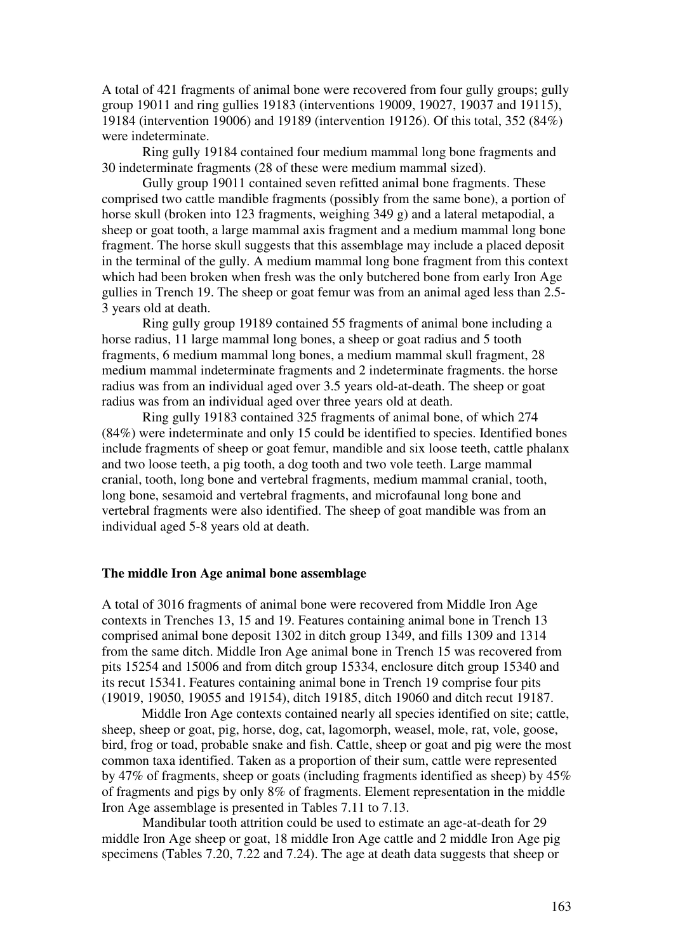A total of 421 fragments of animal bone were recovered from four gully groups; gully group 19011 and ring gullies 19183 (interventions 19009, 19027, 19037 and 19115), 19184 (intervention 19006) and 19189 (intervention 19126). Of this total, 352 (84%) were indeterminate.

Ring gully 19184 contained four medium mammal long bone fragments and 30 indeterminate fragments (28 of these were medium mammal sized).

Gully group 19011 contained seven refitted animal bone fragments. These comprised two cattle mandible fragments (possibly from the same bone), a portion of horse skull (broken into 123 fragments, weighing 349 g) and a lateral metapodial, a sheep or goat tooth, a large mammal axis fragment and a medium mammal long bone fragment. The horse skull suggests that this assemblage may include a placed deposit in the terminal of the gully. A medium mammal long bone fragment from this context which had been broken when fresh was the only butchered bone from early Iron Age gullies in Trench 19. The sheep or goat femur was from an animal aged less than 2.5- 3 years old at death.

Ring gully group 19189 contained 55 fragments of animal bone including a horse radius, 11 large mammal long bones, a sheep or goat radius and 5 tooth fragments, 6 medium mammal long bones, a medium mammal skull fragment, 28 medium mammal indeterminate fragments and 2 indeterminate fragments. the horse radius was from an individual aged over 3.5 years old-at-death. The sheep or goat radius was from an individual aged over three years old at death.

Ring gully 19183 contained 325 fragments of animal bone, of which 274 (84%) were indeterminate and only 15 could be identified to species. Identified bones include fragments of sheep or goat femur, mandible and six loose teeth, cattle phalanx and two loose teeth, a pig tooth, a dog tooth and two vole teeth. Large mammal cranial, tooth, long bone and vertebral fragments, medium mammal cranial, tooth, long bone, sesamoid and vertebral fragments, and microfaunal long bone and vertebral fragments were also identified. The sheep of goat mandible was from an individual aged 5-8 years old at death.

## **The middle Iron Age animal bone assemblage**

A total of 3016 fragments of animal bone were recovered from Middle Iron Age contexts in Trenches 13, 15 and 19. Features containing animal bone in Trench 13 comprised animal bone deposit 1302 in ditch group 1349, and fills 1309 and 1314 from the same ditch. Middle Iron Age animal bone in Trench 15 was recovered from pits 15254 and 15006 and from ditch group 15334, enclosure ditch group 15340 and its recut 15341. Features containing animal bone in Trench 19 comprise four pits (19019, 19050, 19055 and 19154), ditch 19185, ditch 19060 and ditch recut 19187.

 Middle Iron Age contexts contained nearly all species identified on site; cattle, sheep, sheep or goat, pig, horse, dog, cat, lagomorph, weasel, mole, rat, vole, goose, bird, frog or toad, probable snake and fish. Cattle, sheep or goat and pig were the most common taxa identified. Taken as a proportion of their sum, cattle were represented by 47% of fragments, sheep or goats (including fragments identified as sheep) by 45% of fragments and pigs by only 8% of fragments. Element representation in the middle Iron Age assemblage is presented in Tables 7.11 to 7.13.

Mandibular tooth attrition could be used to estimate an age-at-death for 29 middle Iron Age sheep or goat, 18 middle Iron Age cattle and 2 middle Iron Age pig specimens (Tables 7.20, 7.22 and 7.24). The age at death data suggests that sheep or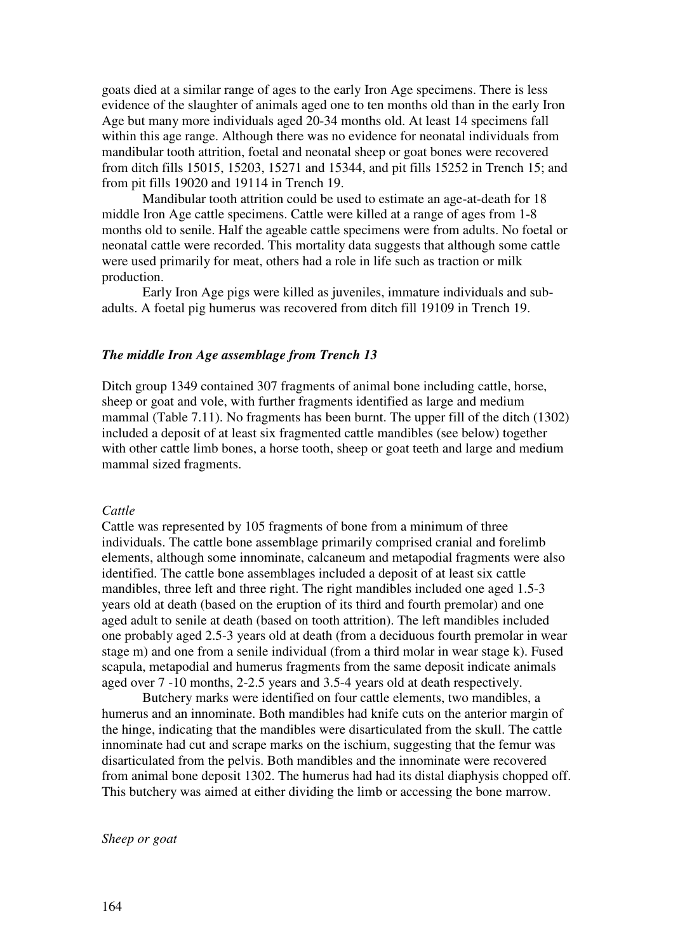goats died at a similar range of ages to the early Iron Age specimens. There is less evidence of the slaughter of animals aged one to ten months old than in the early Iron Age but many more individuals aged 20-34 months old. At least 14 specimens fall within this age range. Although there was no evidence for neonatal individuals from mandibular tooth attrition, foetal and neonatal sheep or goat bones were recovered from ditch fills 15015, 15203, 15271 and 15344, and pit fills 15252 in Trench 15; and from pit fills 19020 and 19114 in Trench 19.

Mandibular tooth attrition could be used to estimate an age-at-death for 18 middle Iron Age cattle specimens. Cattle were killed at a range of ages from 1-8 months old to senile. Half the ageable cattle specimens were from adults. No foetal or neonatal cattle were recorded. This mortality data suggests that although some cattle were used primarily for meat, others had a role in life such as traction or milk production.

Early Iron Age pigs were killed as juveniles, immature individuals and subadults. A foetal pig humerus was recovered from ditch fill 19109 in Trench 19.

#### *The middle Iron Age assemblage from Trench 13*

Ditch group 1349 contained 307 fragments of animal bone including cattle, horse, sheep or goat and vole, with further fragments identified as large and medium mammal (Table 7.11). No fragments has been burnt. The upper fill of the ditch (1302) included a deposit of at least six fragmented cattle mandibles (see below) together with other cattle limb bones, a horse tooth, sheep or goat teeth and large and medium mammal sized fragments.

#### *Cattle*

Cattle was represented by 105 fragments of bone from a minimum of three individuals. The cattle bone assemblage primarily comprised cranial and forelimb elements, although some innominate, calcaneum and metapodial fragments were also identified. The cattle bone assemblages included a deposit of at least six cattle mandibles, three left and three right. The right mandibles included one aged 1.5-3 years old at death (based on the eruption of its third and fourth premolar) and one aged adult to senile at death (based on tooth attrition). The left mandibles included one probably aged 2.5-3 years old at death (from a deciduous fourth premolar in wear stage m) and one from a senile individual (from a third molar in wear stage k). Fused scapula, metapodial and humerus fragments from the same deposit indicate animals aged over 7 -10 months, 2-2.5 years and 3.5-4 years old at death respectively.

Butchery marks were identified on four cattle elements, two mandibles, a humerus and an innominate. Both mandibles had knife cuts on the anterior margin of the hinge, indicating that the mandibles were disarticulated from the skull. The cattle innominate had cut and scrape marks on the ischium, suggesting that the femur was disarticulated from the pelvis. Both mandibles and the innominate were recovered from animal bone deposit 1302. The humerus had had its distal diaphysis chopped off. This butchery was aimed at either dividing the limb or accessing the bone marrow.

*Sheep or goat*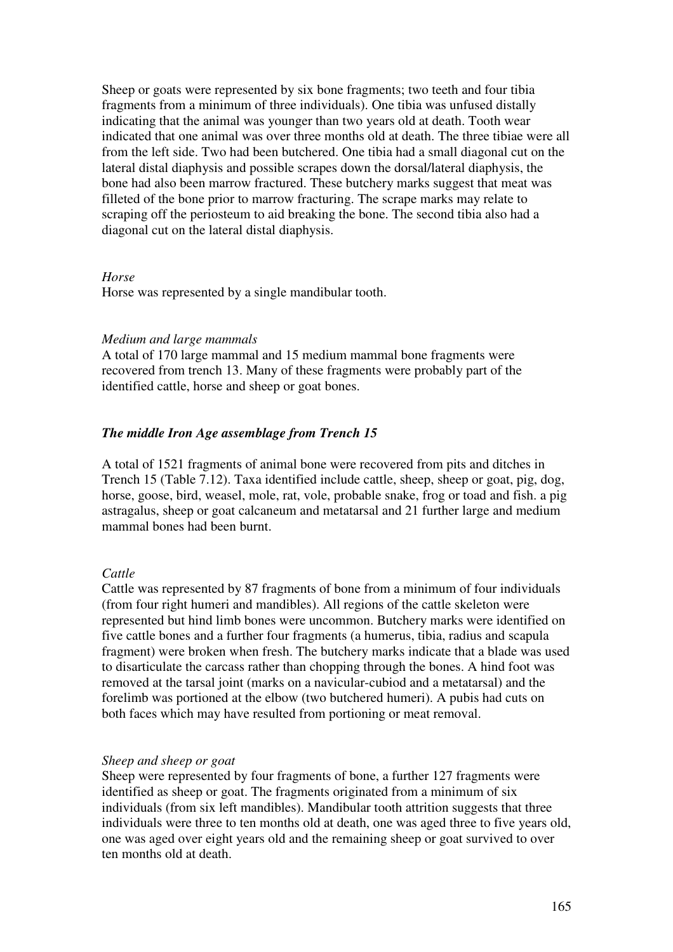Sheep or goats were represented by six bone fragments; two teeth and four tibia fragments from a minimum of three individuals). One tibia was unfused distally indicating that the animal was younger than two years old at death. Tooth wear indicated that one animal was over three months old at death. The three tibiae were all from the left side. Two had been butchered. One tibia had a small diagonal cut on the lateral distal diaphysis and possible scrapes down the dorsal/lateral diaphysis, the bone had also been marrow fractured. These butchery marks suggest that meat was filleted of the bone prior to marrow fracturing. The scrape marks may relate to scraping off the periosteum to aid breaking the bone. The second tibia also had a diagonal cut on the lateral distal diaphysis.

## *Horse*

Horse was represented by a single mandibular tooth.

# *Medium and large mammals*

A total of 170 large mammal and 15 medium mammal bone fragments were recovered from trench 13. Many of these fragments were probably part of the identified cattle, horse and sheep or goat bones.

# *The middle Iron Age assemblage from Trench 15*

A total of 1521 fragments of animal bone were recovered from pits and ditches in Trench 15 (Table 7.12). Taxa identified include cattle, sheep, sheep or goat, pig, dog, horse, goose, bird, weasel, mole, rat, vole, probable snake, frog or toad and fish. a pig astragalus, sheep or goat calcaneum and metatarsal and 21 further large and medium mammal bones had been burnt.

# *Cattle*

Cattle was represented by 87 fragments of bone from a minimum of four individuals (from four right humeri and mandibles). All regions of the cattle skeleton were represented but hind limb bones were uncommon. Butchery marks were identified on five cattle bones and a further four fragments (a humerus, tibia, radius and scapula fragment) were broken when fresh. The butchery marks indicate that a blade was used to disarticulate the carcass rather than chopping through the bones. A hind foot was removed at the tarsal joint (marks on a navicular-cubiod and a metatarsal) and the forelimb was portioned at the elbow (two butchered humeri). A pubis had cuts on both faces which may have resulted from portioning or meat removal.

## *Sheep and sheep or goat*

Sheep were represented by four fragments of bone, a further 127 fragments were identified as sheep or goat. The fragments originated from a minimum of six individuals (from six left mandibles). Mandibular tooth attrition suggests that three individuals were three to ten months old at death, one was aged three to five years old, one was aged over eight years old and the remaining sheep or goat survived to over ten months old at death.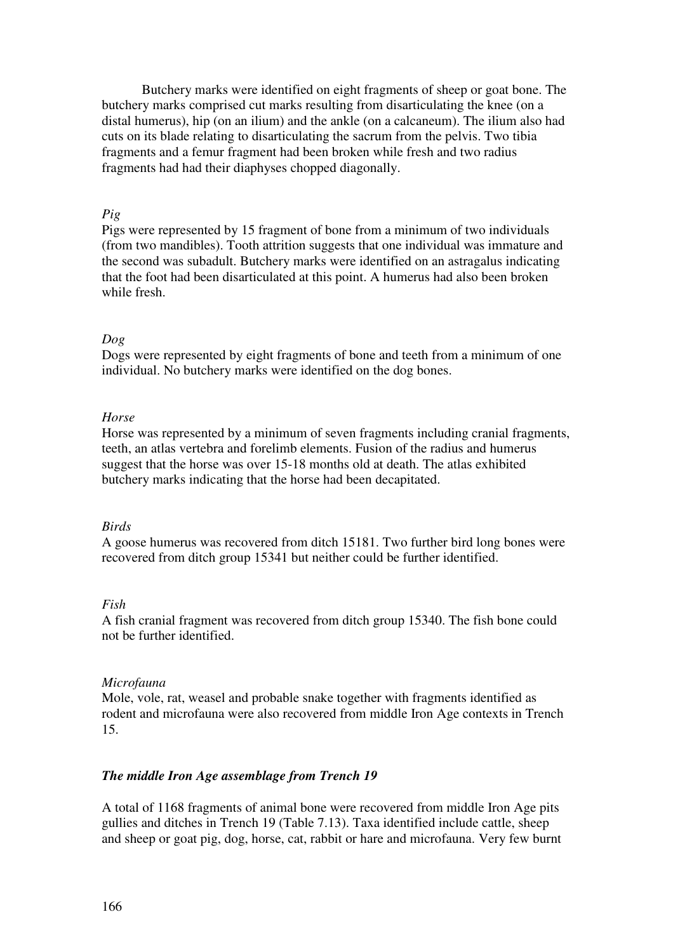Butchery marks were identified on eight fragments of sheep or goat bone. The butchery marks comprised cut marks resulting from disarticulating the knee (on a distal humerus), hip (on an ilium) and the ankle (on a calcaneum). The ilium also had cuts on its blade relating to disarticulating the sacrum from the pelvis. Two tibia fragments and a femur fragment had been broken while fresh and two radius fragments had had their diaphyses chopped diagonally.

# *Pig*

Pigs were represented by 15 fragment of bone from a minimum of two individuals (from two mandibles). Tooth attrition suggests that one individual was immature and the second was subadult. Butchery marks were identified on an astragalus indicating that the foot had been disarticulated at this point. A humerus had also been broken while fresh.

# *Dog*

Dogs were represented by eight fragments of bone and teeth from a minimum of one individual. No butchery marks were identified on the dog bones.

# *Horse*

Horse was represented by a minimum of seven fragments including cranial fragments, teeth, an atlas vertebra and forelimb elements. Fusion of the radius and humerus suggest that the horse was over 15-18 months old at death. The atlas exhibited butchery marks indicating that the horse had been decapitated.

## *Birds*

A goose humerus was recovered from ditch 15181. Two further bird long bones were recovered from ditch group 15341 but neither could be further identified.

## *Fish*

A fish cranial fragment was recovered from ditch group 15340. The fish bone could not be further identified.

## *Microfauna*

Mole, vole, rat, weasel and probable snake together with fragments identified as rodent and microfauna were also recovered from middle Iron Age contexts in Trench 15.

# *The middle Iron Age assemblage from Trench 19*

A total of 1168 fragments of animal bone were recovered from middle Iron Age pits gullies and ditches in Trench 19 (Table 7.13). Taxa identified include cattle, sheep and sheep or goat pig, dog, horse, cat, rabbit or hare and microfauna. Very few burnt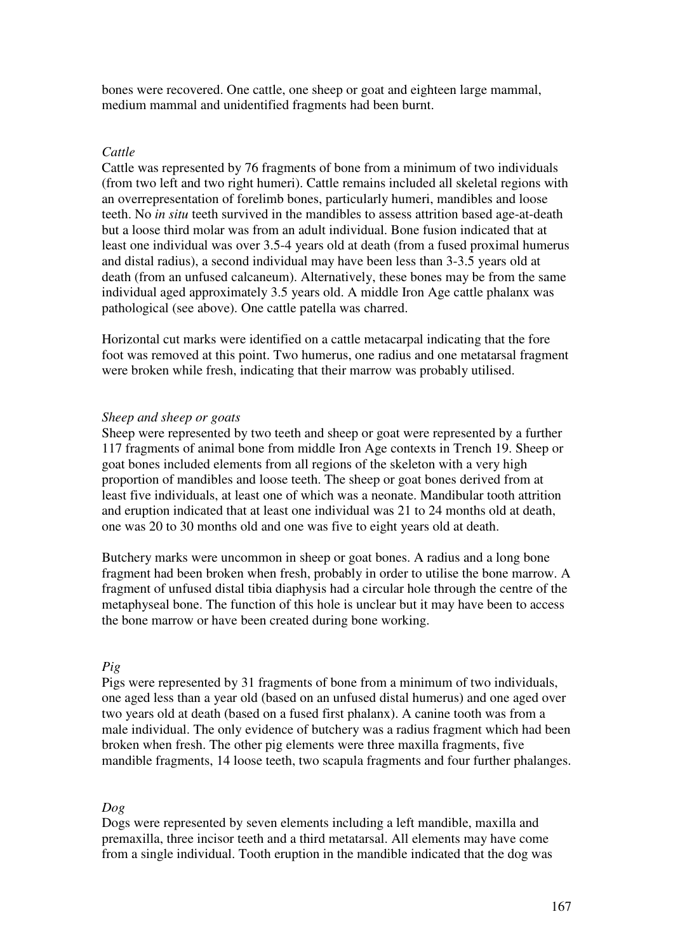bones were recovered. One cattle, one sheep or goat and eighteen large mammal, medium mammal and unidentified fragments had been burnt.

# *Cattle*

Cattle was represented by 76 fragments of bone from a minimum of two individuals (from two left and two right humeri). Cattle remains included all skeletal regions with an overrepresentation of forelimb bones, particularly humeri, mandibles and loose teeth. No *in situ* teeth survived in the mandibles to assess attrition based age-at-death but a loose third molar was from an adult individual. Bone fusion indicated that at least one individual was over 3.5-4 years old at death (from a fused proximal humerus and distal radius), a second individual may have been less than 3-3.5 years old at death (from an unfused calcaneum). Alternatively, these bones may be from the same individual aged approximately 3.5 years old. A middle Iron Age cattle phalanx was pathological (see above). One cattle patella was charred.

Horizontal cut marks were identified on a cattle metacarpal indicating that the fore foot was removed at this point. Two humerus, one radius and one metatarsal fragment were broken while fresh, indicating that their marrow was probably utilised.

# *Sheep and sheep or goats*

Sheep were represented by two teeth and sheep or goat were represented by a further 117 fragments of animal bone from middle Iron Age contexts in Trench 19. Sheep or goat bones included elements from all regions of the skeleton with a very high proportion of mandibles and loose teeth. The sheep or goat bones derived from at least five individuals, at least one of which was a neonate. Mandibular tooth attrition and eruption indicated that at least one individual was 21 to 24 months old at death, one was 20 to 30 months old and one was five to eight years old at death.

Butchery marks were uncommon in sheep or goat bones. A radius and a long bone fragment had been broken when fresh, probably in order to utilise the bone marrow. A fragment of unfused distal tibia diaphysis had a circular hole through the centre of the metaphyseal bone. The function of this hole is unclear but it may have been to access the bone marrow or have been created during bone working.

# *Pig*

Pigs were represented by 31 fragments of bone from a minimum of two individuals, one aged less than a year old (based on an unfused distal humerus) and one aged over two years old at death (based on a fused first phalanx). A canine tooth was from a male individual. The only evidence of butchery was a radius fragment which had been broken when fresh. The other pig elements were three maxilla fragments, five mandible fragments, 14 loose teeth, two scapula fragments and four further phalanges.

## *Dog*

Dogs were represented by seven elements including a left mandible, maxilla and premaxilla, three incisor teeth and a third metatarsal. All elements may have come from a single individual. Tooth eruption in the mandible indicated that the dog was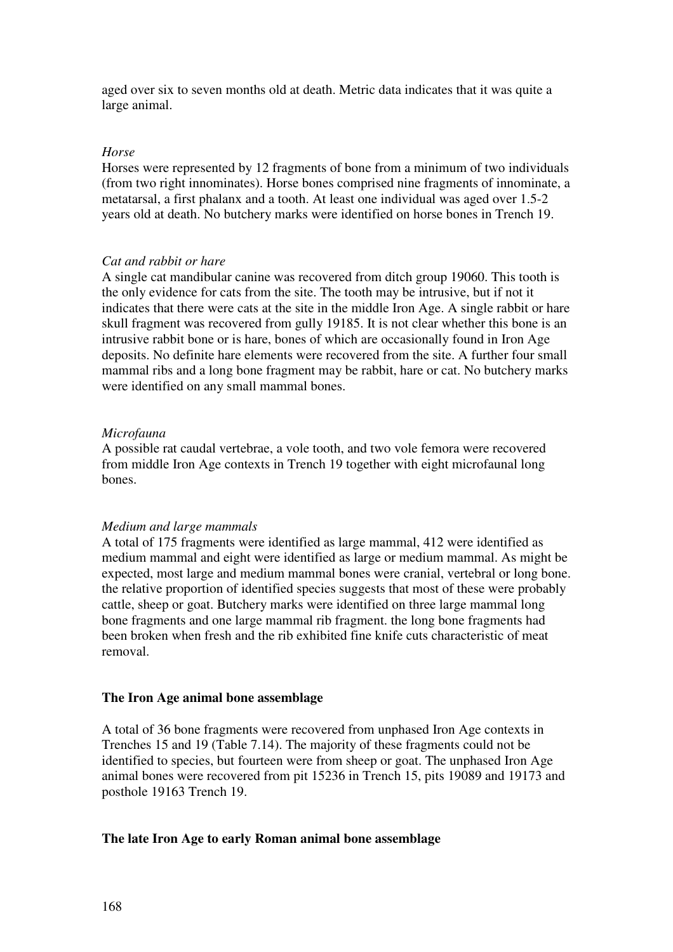aged over six to seven months old at death. Metric data indicates that it was quite a large animal.

#### *Horse*

Horses were represented by 12 fragments of bone from a minimum of two individuals (from two right innominates). Horse bones comprised nine fragments of innominate, a metatarsal, a first phalanx and a tooth. At least one individual was aged over 1.5-2 years old at death. No butchery marks were identified on horse bones in Trench 19.

#### *Cat and rabbit or hare*

A single cat mandibular canine was recovered from ditch group 19060. This tooth is the only evidence for cats from the site. The tooth may be intrusive, but if not it indicates that there were cats at the site in the middle Iron Age. A single rabbit or hare skull fragment was recovered from gully 19185. It is not clear whether this bone is an intrusive rabbit bone or is hare, bones of which are occasionally found in Iron Age deposits. No definite hare elements were recovered from the site. A further four small mammal ribs and a long bone fragment may be rabbit, hare or cat. No butchery marks were identified on any small mammal bones.

#### *Microfauna*

A possible rat caudal vertebrae, a vole tooth, and two vole femora were recovered from middle Iron Age contexts in Trench 19 together with eight microfaunal long bones.

#### *Medium and large mammals*

A total of 175 fragments were identified as large mammal, 412 were identified as medium mammal and eight were identified as large or medium mammal. As might be expected, most large and medium mammal bones were cranial, vertebral or long bone. the relative proportion of identified species suggests that most of these were probably cattle, sheep or goat. Butchery marks were identified on three large mammal long bone fragments and one large mammal rib fragment. the long bone fragments had been broken when fresh and the rib exhibited fine knife cuts characteristic of meat removal.

## **The Iron Age animal bone assemblage**

A total of 36 bone fragments were recovered from unphased Iron Age contexts in Trenches 15 and 19 (Table 7.14). The majority of these fragments could not be identified to species, but fourteen were from sheep or goat. The unphased Iron Age animal bones were recovered from pit 15236 in Trench 15, pits 19089 and 19173 and posthole 19163 Trench 19.

# **The late Iron Age to early Roman animal bone assemblage**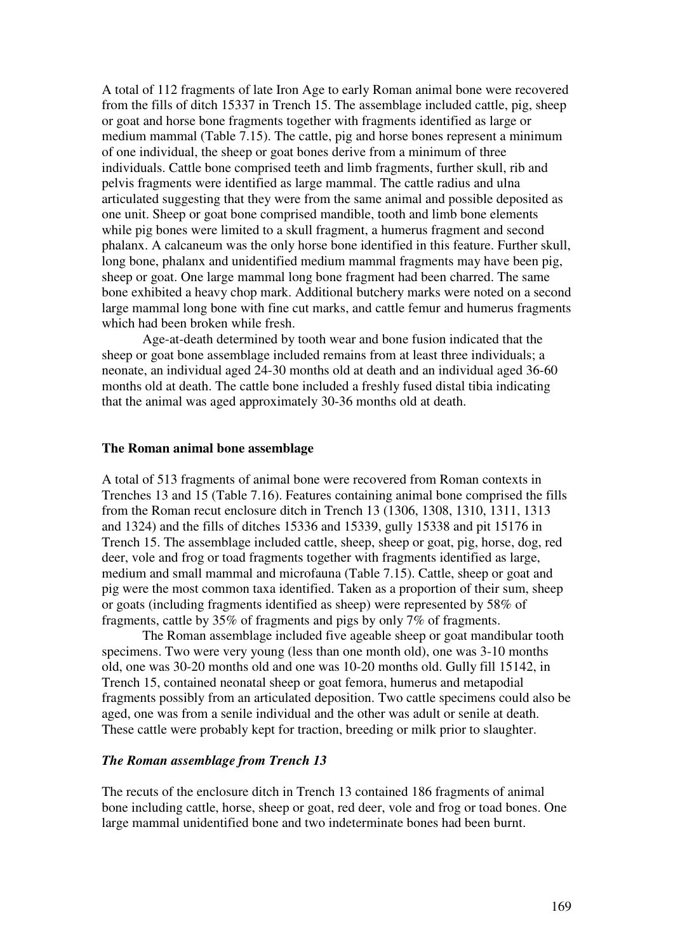A total of 112 fragments of late Iron Age to early Roman animal bone were recovered from the fills of ditch 15337 in Trench 15. The assemblage included cattle, pig, sheep or goat and horse bone fragments together with fragments identified as large or medium mammal (Table 7.15). The cattle, pig and horse bones represent a minimum of one individual, the sheep or goat bones derive from a minimum of three individuals. Cattle bone comprised teeth and limb fragments, further skull, rib and pelvis fragments were identified as large mammal. The cattle radius and ulna articulated suggesting that they were from the same animal and possible deposited as one unit. Sheep or goat bone comprised mandible, tooth and limb bone elements while pig bones were limited to a skull fragment, a humerus fragment and second phalanx. A calcaneum was the only horse bone identified in this feature. Further skull, long bone, phalanx and unidentified medium mammal fragments may have been pig, sheep or goat. One large mammal long bone fragment had been charred. The same bone exhibited a heavy chop mark. Additional butchery marks were noted on a second large mammal long bone with fine cut marks, and cattle femur and humerus fragments which had been broken while fresh.

Age-at-death determined by tooth wear and bone fusion indicated that the sheep or goat bone assemblage included remains from at least three individuals; a neonate, an individual aged 24-30 months old at death and an individual aged 36-60 months old at death. The cattle bone included a freshly fused distal tibia indicating that the animal was aged approximately 30-36 months old at death.

#### **The Roman animal bone assemblage**

A total of 513 fragments of animal bone were recovered from Roman contexts in Trenches 13 and 15 (Table 7.16). Features containing animal bone comprised the fills from the Roman recut enclosure ditch in Trench 13 (1306, 1308, 1310, 1311, 1313 and 1324) and the fills of ditches 15336 and 15339, gully 15338 and pit 15176 in Trench 15. The assemblage included cattle, sheep, sheep or goat, pig, horse, dog, red deer, vole and frog or toad fragments together with fragments identified as large, medium and small mammal and microfauna (Table 7.15). Cattle, sheep or goat and pig were the most common taxa identified. Taken as a proportion of their sum, sheep or goats (including fragments identified as sheep) were represented by 58% of fragments, cattle by 35% of fragments and pigs by only 7% of fragments.

The Roman assemblage included five ageable sheep or goat mandibular tooth specimens. Two were very young (less than one month old), one was 3-10 months old, one was 30-20 months old and one was 10-20 months old. Gully fill 15142, in Trench 15, contained neonatal sheep or goat femora, humerus and metapodial fragments possibly from an articulated deposition. Two cattle specimens could also be aged, one was from a senile individual and the other was adult or senile at death. These cattle were probably kept for traction, breeding or milk prior to slaughter.

# *The Roman assemblage from Trench 13*

The recuts of the enclosure ditch in Trench 13 contained 186 fragments of animal bone including cattle, horse, sheep or goat, red deer, vole and frog or toad bones. One large mammal unidentified bone and two indeterminate bones had been burnt.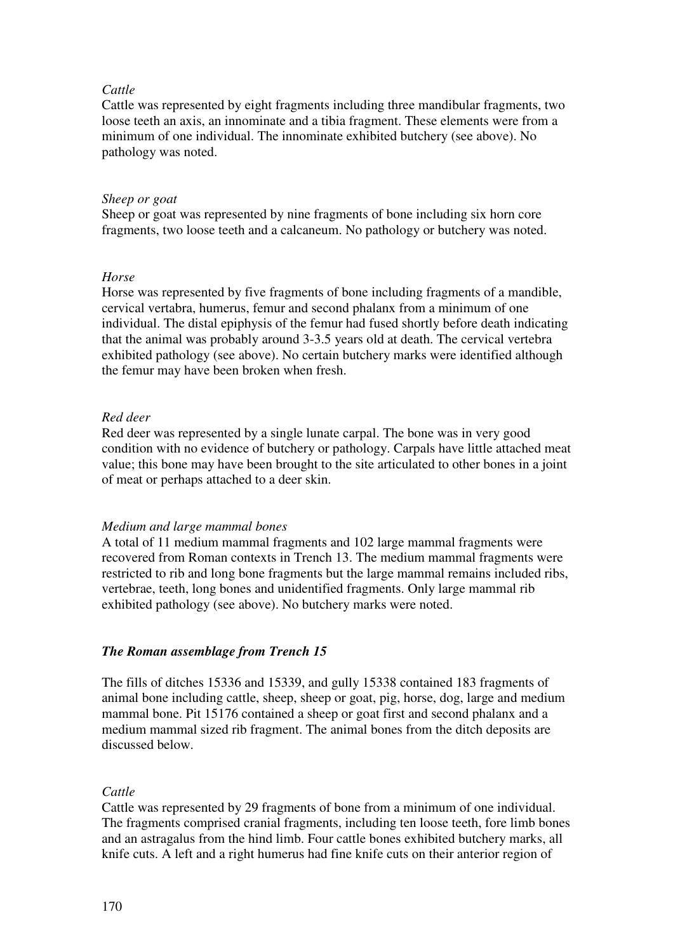# *Cattle*

Cattle was represented by eight fragments including three mandibular fragments, two loose teeth an axis, an innominate and a tibia fragment. These elements were from a minimum of one individual. The innominate exhibited butchery (see above). No pathology was noted.

# *Sheep or goat*

Sheep or goat was represented by nine fragments of bone including six horn core fragments, two loose teeth and a calcaneum. No pathology or butchery was noted.

# *Horse*

Horse was represented by five fragments of bone including fragments of a mandible, cervical vertabra, humerus, femur and second phalanx from a minimum of one individual. The distal epiphysis of the femur had fused shortly before death indicating that the animal was probably around 3-3.5 years old at death. The cervical vertebra exhibited pathology (see above). No certain butchery marks were identified although the femur may have been broken when fresh.

# *Red deer*

Red deer was represented by a single lunate carpal. The bone was in very good condition with no evidence of butchery or pathology. Carpals have little attached meat value; this bone may have been brought to the site articulated to other bones in a joint of meat or perhaps attached to a deer skin.

## *Medium and large mammal bones*

A total of 11 medium mammal fragments and 102 large mammal fragments were recovered from Roman contexts in Trench 13. The medium mammal fragments were restricted to rib and long bone fragments but the large mammal remains included ribs, vertebrae, teeth, long bones and unidentified fragments. Only large mammal rib exhibited pathology (see above). No butchery marks were noted.

# *The Roman assemblage from Trench 15*

The fills of ditches 15336 and 15339, and gully 15338 contained 183 fragments of animal bone including cattle, sheep, sheep or goat, pig, horse, dog, large and medium mammal bone. Pit 15176 contained a sheep or goat first and second phalanx and a medium mammal sized rib fragment. The animal bones from the ditch deposits are discussed below.

# *Cattle*

Cattle was represented by 29 fragments of bone from a minimum of one individual. The fragments comprised cranial fragments, including ten loose teeth, fore limb bones and an astragalus from the hind limb. Four cattle bones exhibited butchery marks, all knife cuts. A left and a right humerus had fine knife cuts on their anterior region of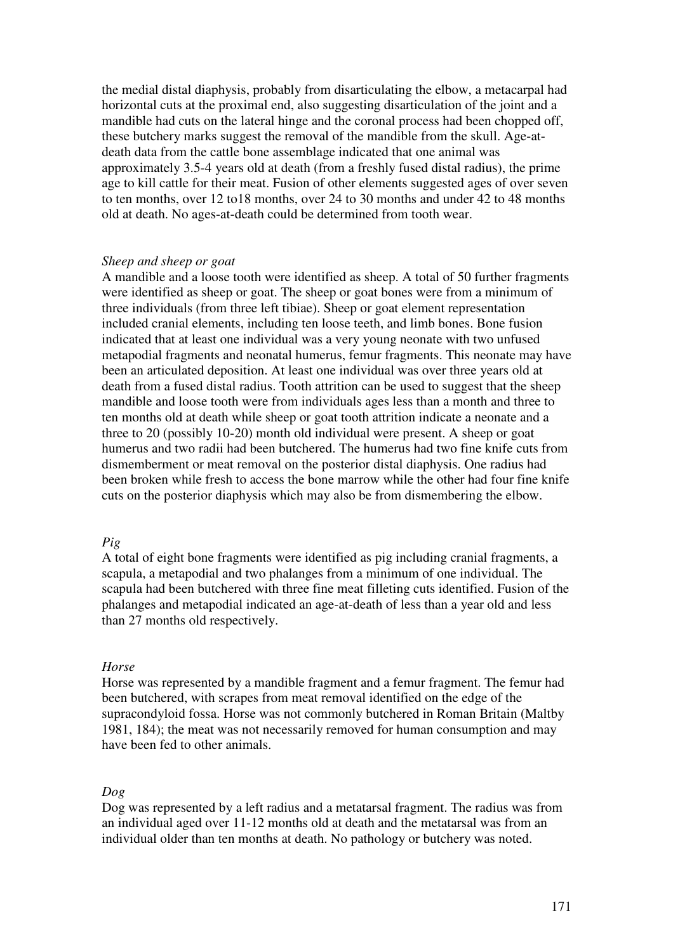the medial distal diaphysis, probably from disarticulating the elbow, a metacarpal had horizontal cuts at the proximal end, also suggesting disarticulation of the joint and a mandible had cuts on the lateral hinge and the coronal process had been chopped off, these butchery marks suggest the removal of the mandible from the skull. Age-atdeath data from the cattle bone assemblage indicated that one animal was approximately 3.5-4 years old at death (from a freshly fused distal radius), the prime age to kill cattle for their meat. Fusion of other elements suggested ages of over seven to ten months, over 12 to18 months, over 24 to 30 months and under 42 to 48 months old at death. No ages-at-death could be determined from tooth wear.

#### *Sheep and sheep or goat*

A mandible and a loose tooth were identified as sheep. A total of 50 further fragments were identified as sheep or goat. The sheep or goat bones were from a minimum of three individuals (from three left tibiae). Sheep or goat element representation included cranial elements, including ten loose teeth, and limb bones. Bone fusion indicated that at least one individual was a very young neonate with two unfused metapodial fragments and neonatal humerus, femur fragments. This neonate may have been an articulated deposition. At least one individual was over three years old at death from a fused distal radius. Tooth attrition can be used to suggest that the sheep mandible and loose tooth were from individuals ages less than a month and three to ten months old at death while sheep or goat tooth attrition indicate a neonate and a three to 20 (possibly 10-20) month old individual were present. A sheep or goat humerus and two radii had been butchered. The humerus had two fine knife cuts from dismemberment or meat removal on the posterior distal diaphysis. One radius had been broken while fresh to access the bone marrow while the other had four fine knife cuts on the posterior diaphysis which may also be from dismembering the elbow.

# *Pig*

A total of eight bone fragments were identified as pig including cranial fragments, a scapula, a metapodial and two phalanges from a minimum of one individual. The scapula had been butchered with three fine meat filleting cuts identified. Fusion of the phalanges and metapodial indicated an age-at-death of less than a year old and less than 27 months old respectively.

#### *Horse*

Horse was represented by a mandible fragment and a femur fragment. The femur had been butchered, with scrapes from meat removal identified on the edge of the supracondyloid fossa. Horse was not commonly butchered in Roman Britain (Maltby 1981, 184); the meat was not necessarily removed for human consumption and may have been fed to other animals.

## *Dog*

Dog was represented by a left radius and a metatarsal fragment. The radius was from an individual aged over 11-12 months old at death and the metatarsal was from an individual older than ten months at death. No pathology or butchery was noted.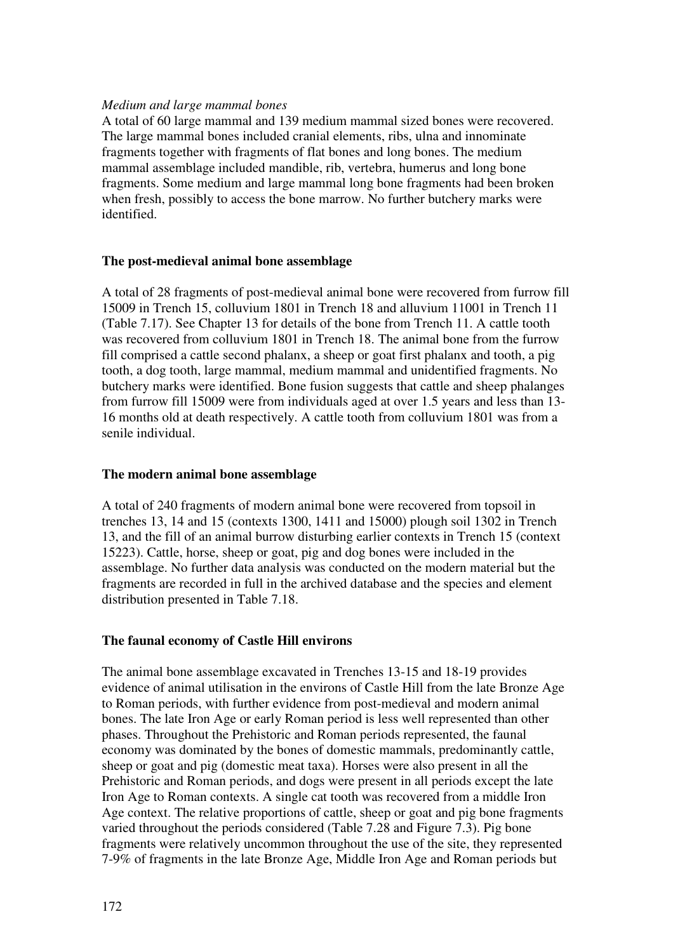# *Medium and large mammal bones*

A total of 60 large mammal and 139 medium mammal sized bones were recovered. The large mammal bones included cranial elements, ribs, ulna and innominate fragments together with fragments of flat bones and long bones. The medium mammal assemblage included mandible, rib, vertebra, humerus and long bone fragments. Some medium and large mammal long bone fragments had been broken when fresh, possibly to access the bone marrow. No further butchery marks were identified.

# **The post-medieval animal bone assemblage**

A total of 28 fragments of post-medieval animal bone were recovered from furrow fill 15009 in Trench 15, colluvium 1801 in Trench 18 and alluvium 11001 in Trench 11 (Table 7.17). See Chapter 13 for details of the bone from Trench 11. A cattle tooth was recovered from colluvium 1801 in Trench 18. The animal bone from the furrow fill comprised a cattle second phalanx, a sheep or goat first phalanx and tooth, a pig tooth, a dog tooth, large mammal, medium mammal and unidentified fragments. No butchery marks were identified. Bone fusion suggests that cattle and sheep phalanges from furrow fill 15009 were from individuals aged at over 1.5 years and less than 13- 16 months old at death respectively. A cattle tooth from colluvium 1801 was from a senile individual.

# **The modern animal bone assemblage**

A total of 240 fragments of modern animal bone were recovered from topsoil in trenches 13, 14 and 15 (contexts 1300, 1411 and 15000) plough soil 1302 in Trench 13, and the fill of an animal burrow disturbing earlier contexts in Trench 15 (context 15223). Cattle, horse, sheep or goat, pig and dog bones were included in the assemblage. No further data analysis was conducted on the modern material but the fragments are recorded in full in the archived database and the species and element distribution presented in Table 7.18.

# **The faunal economy of Castle Hill environs**

The animal bone assemblage excavated in Trenches 13-15 and 18-19 provides evidence of animal utilisation in the environs of Castle Hill from the late Bronze Age to Roman periods, with further evidence from post-medieval and modern animal bones. The late Iron Age or early Roman period is less well represented than other phases. Throughout the Prehistoric and Roman periods represented, the faunal economy was dominated by the bones of domestic mammals, predominantly cattle, sheep or goat and pig (domestic meat taxa). Horses were also present in all the Prehistoric and Roman periods, and dogs were present in all periods except the late Iron Age to Roman contexts. A single cat tooth was recovered from a middle Iron Age context. The relative proportions of cattle, sheep or goat and pig bone fragments varied throughout the periods considered (Table 7.28 and Figure 7.3). Pig bone fragments were relatively uncommon throughout the use of the site, they represented 7-9% of fragments in the late Bronze Age, Middle Iron Age and Roman periods but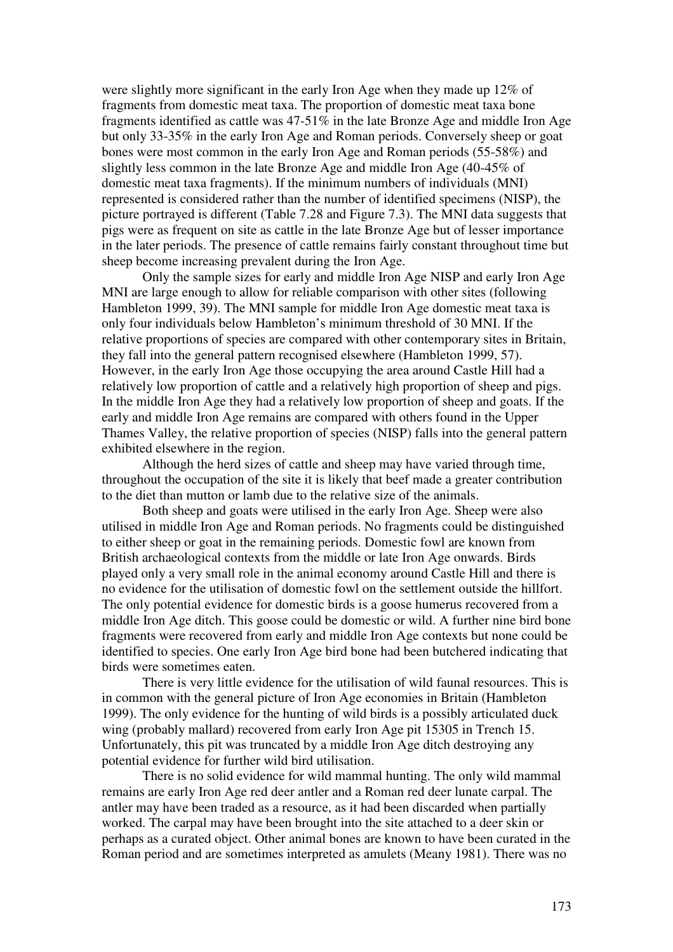were slightly more significant in the early Iron Age when they made up 12% of fragments from domestic meat taxa. The proportion of domestic meat taxa bone fragments identified as cattle was 47-51% in the late Bronze Age and middle Iron Age but only 33-35% in the early Iron Age and Roman periods. Conversely sheep or goat bones were most common in the early Iron Age and Roman periods (55-58%) and slightly less common in the late Bronze Age and middle Iron Age (40-45% of domestic meat taxa fragments). If the minimum numbers of individuals (MNI) represented is considered rather than the number of identified specimens (NISP), the picture portrayed is different (Table 7.28 and Figure 7.3). The MNI data suggests that pigs were as frequent on site as cattle in the late Bronze Age but of lesser importance in the later periods. The presence of cattle remains fairly constant throughout time but sheep become increasing prevalent during the Iron Age.

Only the sample sizes for early and middle Iron Age NISP and early Iron Age MNI are large enough to allow for reliable comparison with other sites (following Hambleton 1999, 39). The MNI sample for middle Iron Age domestic meat taxa is only four individuals below Hambleton's minimum threshold of 30 MNI. If the relative proportions of species are compared with other contemporary sites in Britain, they fall into the general pattern recognised elsewhere (Hambleton 1999, 57). However, in the early Iron Age those occupying the area around Castle Hill had a relatively low proportion of cattle and a relatively high proportion of sheep and pigs. In the middle Iron Age they had a relatively low proportion of sheep and goats. If the early and middle Iron Age remains are compared with others found in the Upper Thames Valley, the relative proportion of species (NISP) falls into the general pattern exhibited elsewhere in the region.

Although the herd sizes of cattle and sheep may have varied through time, throughout the occupation of the site it is likely that beef made a greater contribution to the diet than mutton or lamb due to the relative size of the animals.

Both sheep and goats were utilised in the early Iron Age. Sheep were also utilised in middle Iron Age and Roman periods. No fragments could be distinguished to either sheep or goat in the remaining periods. Domestic fowl are known from British archaeological contexts from the middle or late Iron Age onwards. Birds played only a very small role in the animal economy around Castle Hill and there is no evidence for the utilisation of domestic fowl on the settlement outside the hillfort. The only potential evidence for domestic birds is a goose humerus recovered from a middle Iron Age ditch. This goose could be domestic or wild. A further nine bird bone fragments were recovered from early and middle Iron Age contexts but none could be identified to species. One early Iron Age bird bone had been butchered indicating that birds were sometimes eaten.

There is very little evidence for the utilisation of wild faunal resources. This is in common with the general picture of Iron Age economies in Britain (Hambleton 1999). The only evidence for the hunting of wild birds is a possibly articulated duck wing (probably mallard) recovered from early Iron Age pit 15305 in Trench 15. Unfortunately, this pit was truncated by a middle Iron Age ditch destroying any potential evidence for further wild bird utilisation.

There is no solid evidence for wild mammal hunting. The only wild mammal remains are early Iron Age red deer antler and a Roman red deer lunate carpal. The antler may have been traded as a resource, as it had been discarded when partially worked. The carpal may have been brought into the site attached to a deer skin or perhaps as a curated object. Other animal bones are known to have been curated in the Roman period and are sometimes interpreted as amulets (Meany 1981). There was no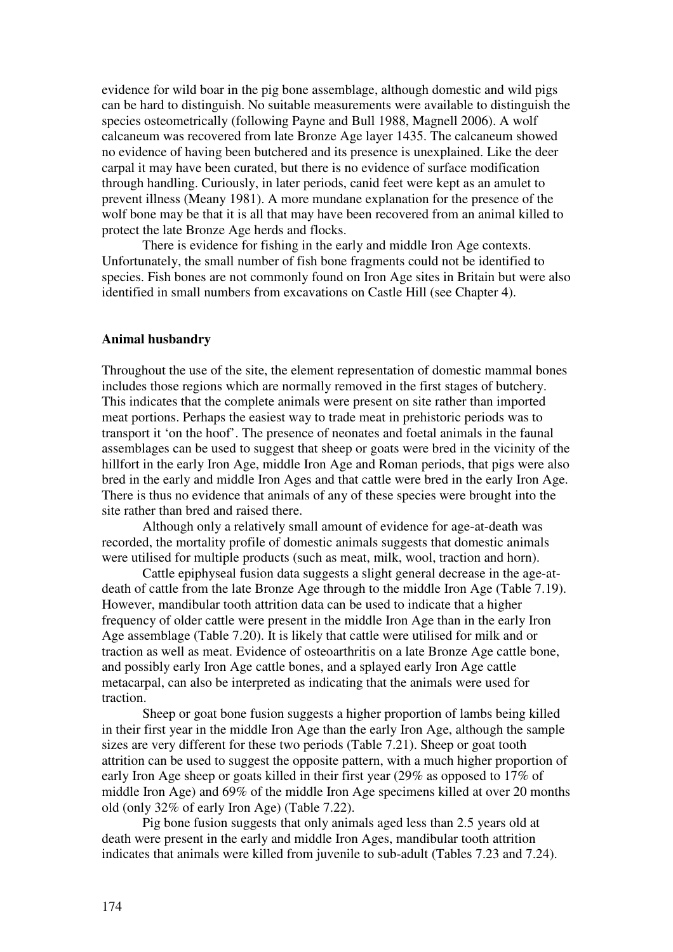evidence for wild boar in the pig bone assemblage, although domestic and wild pigs can be hard to distinguish. No suitable measurements were available to distinguish the species osteometrically (following Payne and Bull 1988, Magnell 2006). A wolf calcaneum was recovered from late Bronze Age layer 1435. The calcaneum showed no evidence of having been butchered and its presence is unexplained. Like the deer carpal it may have been curated, but there is no evidence of surface modification through handling. Curiously, in later periods, canid feet were kept as an amulet to prevent illness (Meany 1981). A more mundane explanation for the presence of the wolf bone may be that it is all that may have been recovered from an animal killed to protect the late Bronze Age herds and flocks.

There is evidence for fishing in the early and middle Iron Age contexts. Unfortunately, the small number of fish bone fragments could not be identified to species. Fish bones are not commonly found on Iron Age sites in Britain but were also identified in small numbers from excavations on Castle Hill (see Chapter 4).

# **Animal husbandry**

Throughout the use of the site, the element representation of domestic mammal bones includes those regions which are normally removed in the first stages of butchery. This indicates that the complete animals were present on site rather than imported meat portions. Perhaps the easiest way to trade meat in prehistoric periods was to transport it 'on the hoof'. The presence of neonates and foetal animals in the faunal assemblages can be used to suggest that sheep or goats were bred in the vicinity of the hillfort in the early Iron Age, middle Iron Age and Roman periods, that pigs were also bred in the early and middle Iron Ages and that cattle were bred in the early Iron Age. There is thus no evidence that animals of any of these species were brought into the site rather than bred and raised there.

Although only a relatively small amount of evidence for age-at-death was recorded, the mortality profile of domestic animals suggests that domestic animals were utilised for multiple products (such as meat, milk, wool, traction and horn).

Cattle epiphyseal fusion data suggests a slight general decrease in the age-atdeath of cattle from the late Bronze Age through to the middle Iron Age (Table 7.19). However, mandibular tooth attrition data can be used to indicate that a higher frequency of older cattle were present in the middle Iron Age than in the early Iron Age assemblage (Table 7.20). It is likely that cattle were utilised for milk and or traction as well as meat. Evidence of osteoarthritis on a late Bronze Age cattle bone, and possibly early Iron Age cattle bones, and a splayed early Iron Age cattle metacarpal, can also be interpreted as indicating that the animals were used for traction.

Sheep or goat bone fusion suggests a higher proportion of lambs being killed in their first year in the middle Iron Age than the early Iron Age, although the sample sizes are very different for these two periods (Table 7.21). Sheep or goat tooth attrition can be used to suggest the opposite pattern, with a much higher proportion of early Iron Age sheep or goats killed in their first year (29% as opposed to 17% of middle Iron Age) and 69% of the middle Iron Age specimens killed at over 20 months old (only 32% of early Iron Age) (Table 7.22).

Pig bone fusion suggests that only animals aged less than 2.5 years old at death were present in the early and middle Iron Ages, mandibular tooth attrition indicates that animals were killed from juvenile to sub-adult (Tables 7.23 and 7.24).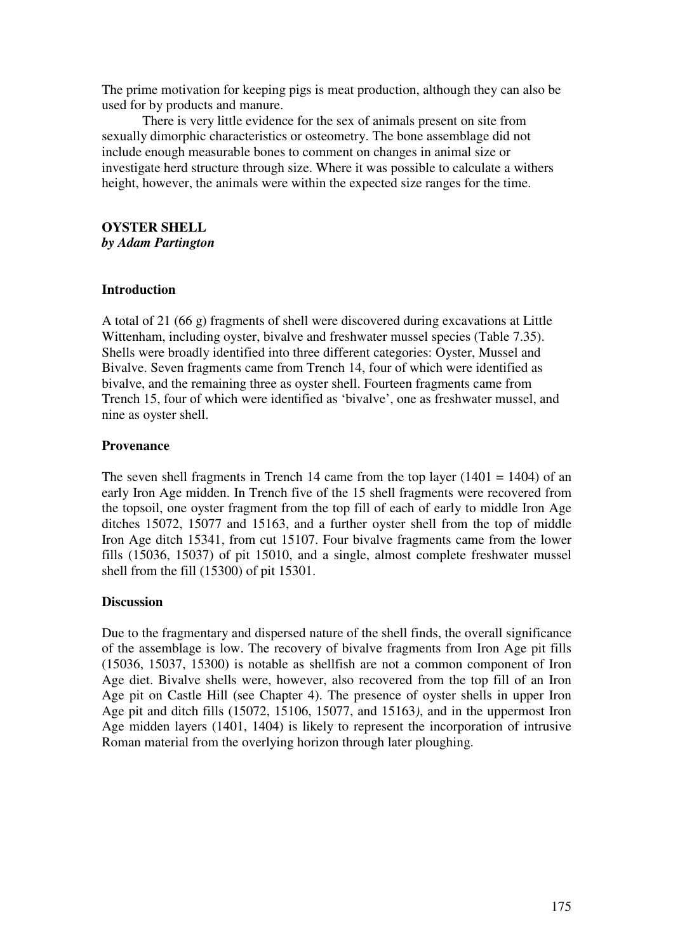The prime motivation for keeping pigs is meat production, although they can also be used for by products and manure.

There is very little evidence for the sex of animals present on site from sexually dimorphic characteristics or osteometry. The bone assemblage did not include enough measurable bones to comment on changes in animal size or investigate herd structure through size. Where it was possible to calculate a withers height, however, the animals were within the expected size ranges for the time.

#### **OYSTER SHELL**  *by Adam Partington*

## **Introduction**

A total of 21 (66 g) fragments of shell were discovered during excavations at Little Wittenham, including oyster, bivalve and freshwater mussel species (Table 7.35). Shells were broadly identified into three different categories: Oyster, Mussel and Bivalve. Seven fragments came from Trench 14, four of which were identified as bivalve, and the remaining three as oyster shell. Fourteen fragments came from Trench 15, four of which were identified as 'bivalve', one as freshwater mussel, and nine as oyster shell.

## **Provenance**

The seven shell fragments in Trench 14 came from the top layer  $(1401 = 1404)$  of an early Iron Age midden. In Trench five of the 15 shell fragments were recovered from the topsoil, one oyster fragment from the top fill of each of early to middle Iron Age ditches 15072, 15077 and 15163, and a further oyster shell from the top of middle Iron Age ditch 15341, from cut 15107. Four bivalve fragments came from the lower fills (15036, 15037) of pit 15010, and a single, almost complete freshwater mussel shell from the fill (15300) of pit 15301.

# **Discussion**

Due to the fragmentary and dispersed nature of the shell finds, the overall significance of the assemblage is low. The recovery of bivalve fragments from Iron Age pit fills (15036, 15037, 15300) is notable as shellfish are not a common component of Iron Age diet. Bivalve shells were, however, also recovered from the top fill of an Iron Age pit on Castle Hill (see Chapter 4). The presence of oyster shells in upper Iron Age pit and ditch fills (15072, 15106, 15077, and 15163*)*, and in the uppermost Iron Age midden layers (1401, 1404) is likely to represent the incorporation of intrusive Roman material from the overlying horizon through later ploughing.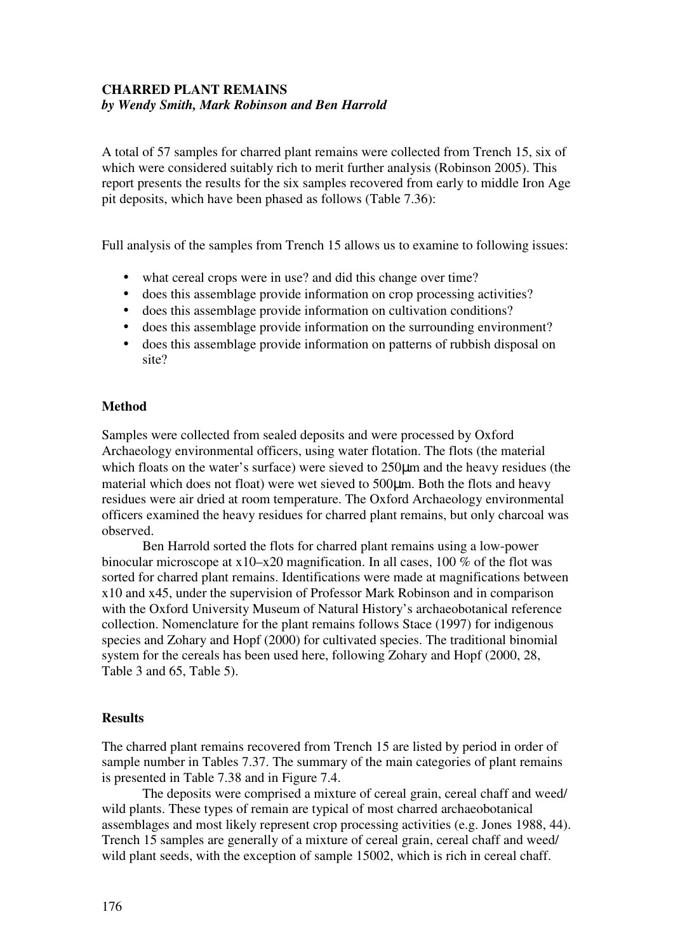# **CHARRED PLANT REMAINS**  *by Wendy Smith, Mark Robinson and Ben Harrold*

A total of 57 samples for charred plant remains were collected from Trench 15, six of which were considered suitably rich to merit further analysis (Robinson 2005). This report presents the results for the six samples recovered from early to middle Iron Age pit deposits, which have been phased as follows (Table 7.36):

Full analysis of the samples from Trench 15 allows us to examine to following issues:

- what cereal crops were in use? and did this change over time?
- does this assemblage provide information on crop processing activities?
- does this assemblage provide information on cultivation conditions?
- does this assemblage provide information on the surrounding environment?
- does this assemblage provide information on patterns of rubbish disposal on site?

# **Method**

Samples were collected from sealed deposits and were processed by Oxford Archaeology environmental officers, using water flotation. The flots (the material which floats on the water's surface) were sieved to  $250\mu m$  and the heavy residues (the material which does not float) were wet sieved to 500µm. Both the flots and heavy residues were air dried at room temperature. The Oxford Archaeology environmental officers examined the heavy residues for charred plant remains, but only charcoal was observed.

Ben Harrold sorted the flots for charred plant remains using a low-power binocular microscope at x10–x20 magnification. In all cases, 100 % of the flot was sorted for charred plant remains. Identifications were made at magnifications between x10 and x45, under the supervision of Professor Mark Robinson and in comparison with the Oxford University Museum of Natural History's archaeobotanical reference collection. Nomenclature for the plant remains follows Stace (1997) for indigenous species and Zohary and Hopf (2000) for cultivated species. The traditional binomial system for the cereals has been used here, following Zohary and Hopf (2000, 28, Table 3 and 65, Table 5).

# **Results**

The charred plant remains recovered from Trench 15 are listed by period in order of sample number in Tables 7.37. The summary of the main categories of plant remains is presented in Table 7.38 and in Figure 7.4.

The deposits were comprised a mixture of cereal grain, cereal chaff and weed/ wild plants. These types of remain are typical of most charred archaeobotanical assemblages and most likely represent crop processing activities (e.g. Jones 1988, 44). Trench 15 samples are generally of a mixture of cereal grain, cereal chaff and weed/ wild plant seeds, with the exception of sample 15002, which is rich in cereal chaff.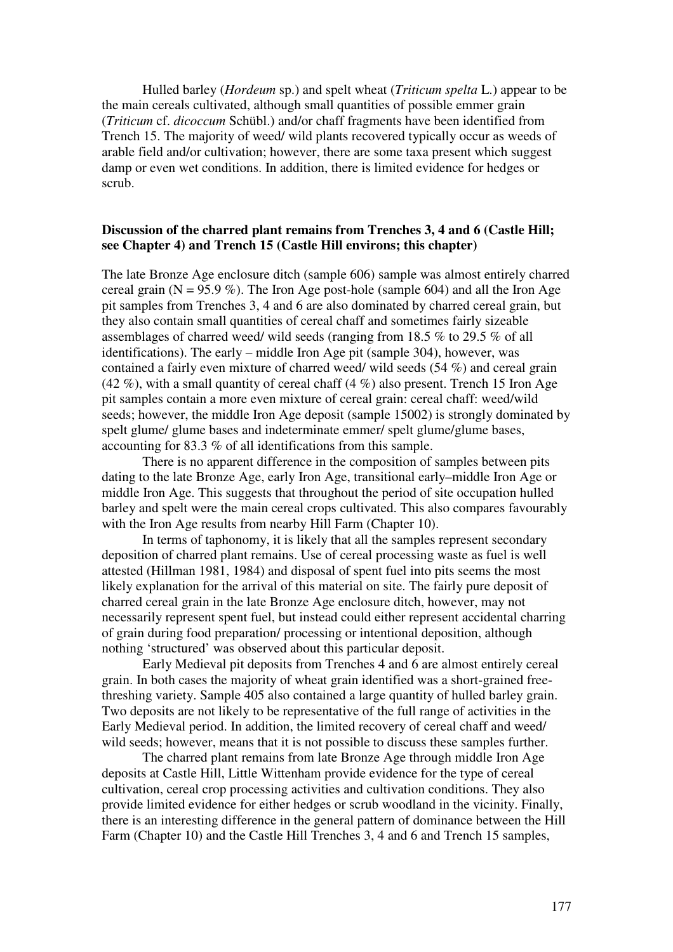Hulled barley (*Hordeum* sp.) and spelt wheat (*Triticum spelta* L.) appear to be the main cereals cultivated, although small quantities of possible emmer grain (*Triticum* cf. *dicoccum* Schübl.) and/or chaff fragments have been identified from Trench 15. The majority of weed/ wild plants recovered typically occur as weeds of arable field and/or cultivation; however, there are some taxa present which suggest damp or even wet conditions. In addition, there is limited evidence for hedges or scrub.

# **Discussion of the charred plant remains from Trenches 3, 4 and 6 (Castle Hill; see Chapter 4) and Trench 15 (Castle Hill environs; this chapter)**

The late Bronze Age enclosure ditch (sample 606) sample was almost entirely charred cereal grain ( $N = 95.9\%$ ). The Iron Age post-hole (sample 604) and all the Iron Age pit samples from Trenches 3, 4 and 6 are also dominated by charred cereal grain, but they also contain small quantities of cereal chaff and sometimes fairly sizeable assemblages of charred weed/ wild seeds (ranging from 18.5 % to 29.5 % of all identifications). The early – middle Iron Age pit (sample 304), however, was contained a fairly even mixture of charred weed/ wild seeds (54 %) and cereal grain (42 %), with a small quantity of cereal chaff  $(4 \%)$  also present. Trench 15 Iron Age pit samples contain a more even mixture of cereal grain: cereal chaff: weed/wild seeds; however, the middle Iron Age deposit (sample 15002) is strongly dominated by spelt glume/ glume bases and indeterminate emmer/ spelt glume/glume bases, accounting for 83.3 % of all identifications from this sample.

There is no apparent difference in the composition of samples between pits dating to the late Bronze Age, early Iron Age, transitional early–middle Iron Age or middle Iron Age. This suggests that throughout the period of site occupation hulled barley and spelt were the main cereal crops cultivated. This also compares favourably with the Iron Age results from nearby Hill Farm (Chapter 10).

In terms of taphonomy, it is likely that all the samples represent secondary deposition of charred plant remains. Use of cereal processing waste as fuel is well attested (Hillman 1981, 1984) and disposal of spent fuel into pits seems the most likely explanation for the arrival of this material on site. The fairly pure deposit of charred cereal grain in the late Bronze Age enclosure ditch, however, may not necessarily represent spent fuel, but instead could either represent accidental charring of grain during food preparation/ processing or intentional deposition, although nothing 'structured' was observed about this particular deposit.

Early Medieval pit deposits from Trenches 4 and 6 are almost entirely cereal grain. In both cases the majority of wheat grain identified was a short-grained freethreshing variety. Sample 405 also contained a large quantity of hulled barley grain. Two deposits are not likely to be representative of the full range of activities in the Early Medieval period. In addition, the limited recovery of cereal chaff and weed/ wild seeds; however, means that it is not possible to discuss these samples further.

The charred plant remains from late Bronze Age through middle Iron Age deposits at Castle Hill, Little Wittenham provide evidence for the type of cereal cultivation, cereal crop processing activities and cultivation conditions. They also provide limited evidence for either hedges or scrub woodland in the vicinity. Finally, there is an interesting difference in the general pattern of dominance between the Hill Farm (Chapter 10) and the Castle Hill Trenches 3, 4 and 6 and Trench 15 samples,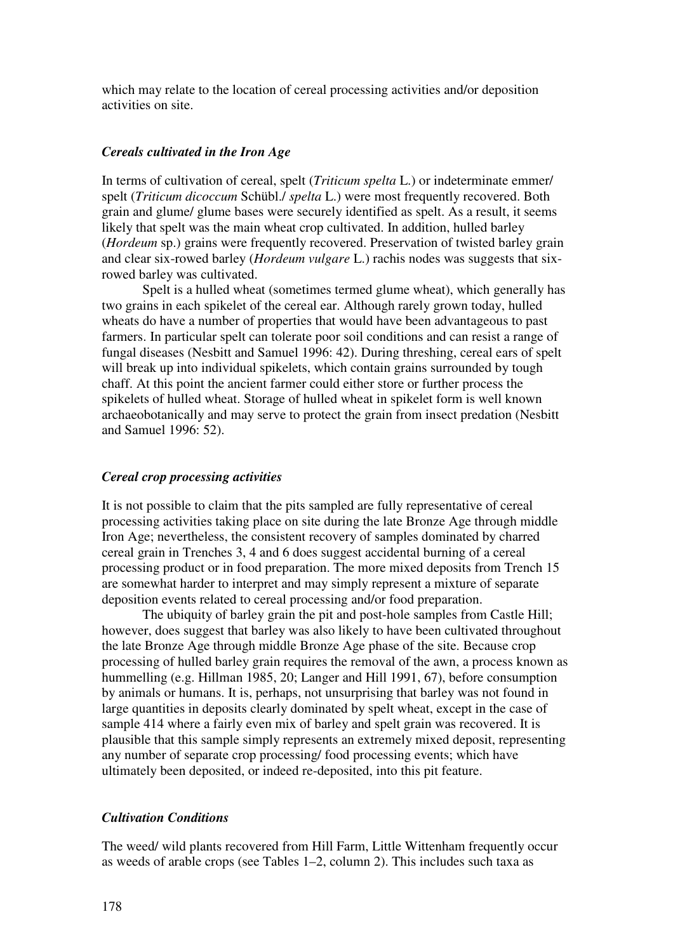which may relate to the location of cereal processing activities and/or deposition activities on site.

#### *Cereals cultivated in the Iron Age*

In terms of cultivation of cereal, spelt (*Triticum spelta* L.) or indeterminate emmer/ spelt (*Triticum dicoccum* Schübl./ *spelta* L.) were most frequently recovered. Both grain and glume/ glume bases were securely identified as spelt. As a result, it seems likely that spelt was the main wheat crop cultivated. In addition, hulled barley (*Hordeum* sp.) grains were frequently recovered. Preservation of twisted barley grain and clear six-rowed barley (*Hordeum vulgare* L.) rachis nodes was suggests that sixrowed barley was cultivated.

Spelt is a hulled wheat (sometimes termed glume wheat), which generally has two grains in each spikelet of the cereal ear. Although rarely grown today, hulled wheats do have a number of properties that would have been advantageous to past farmers. In particular spelt can tolerate poor soil conditions and can resist a range of fungal diseases (Nesbitt and Samuel 1996: 42). During threshing, cereal ears of spelt will break up into individual spikelets, which contain grains surrounded by tough chaff. At this point the ancient farmer could either store or further process the spikelets of hulled wheat. Storage of hulled wheat in spikelet form is well known archaeobotanically and may serve to protect the grain from insect predation (Nesbitt and Samuel 1996: 52).

# *Cereal crop processing activities*

It is not possible to claim that the pits sampled are fully representative of cereal processing activities taking place on site during the late Bronze Age through middle Iron Age; nevertheless, the consistent recovery of samples dominated by charred cereal grain in Trenches 3, 4 and 6 does suggest accidental burning of a cereal processing product or in food preparation. The more mixed deposits from Trench 15 are somewhat harder to interpret and may simply represent a mixture of separate deposition events related to cereal processing and/or food preparation.

The ubiquity of barley grain the pit and post-hole samples from Castle Hill; however, does suggest that barley was also likely to have been cultivated throughout the late Bronze Age through middle Bronze Age phase of the site. Because crop processing of hulled barley grain requires the removal of the awn, a process known as hummelling (e.g. Hillman 1985, 20; Langer and Hill 1991, 67), before consumption by animals or humans. It is, perhaps, not unsurprising that barley was not found in large quantities in deposits clearly dominated by spelt wheat, except in the case of sample 414 where a fairly even mix of barley and spelt grain was recovered. It is plausible that this sample simply represents an extremely mixed deposit, representing any number of separate crop processing/ food processing events; which have ultimately been deposited, or indeed re-deposited, into this pit feature.

# *Cultivation Conditions*

The weed/ wild plants recovered from Hill Farm, Little Wittenham frequently occur as weeds of arable crops (see Tables 1–2, column 2). This includes such taxa as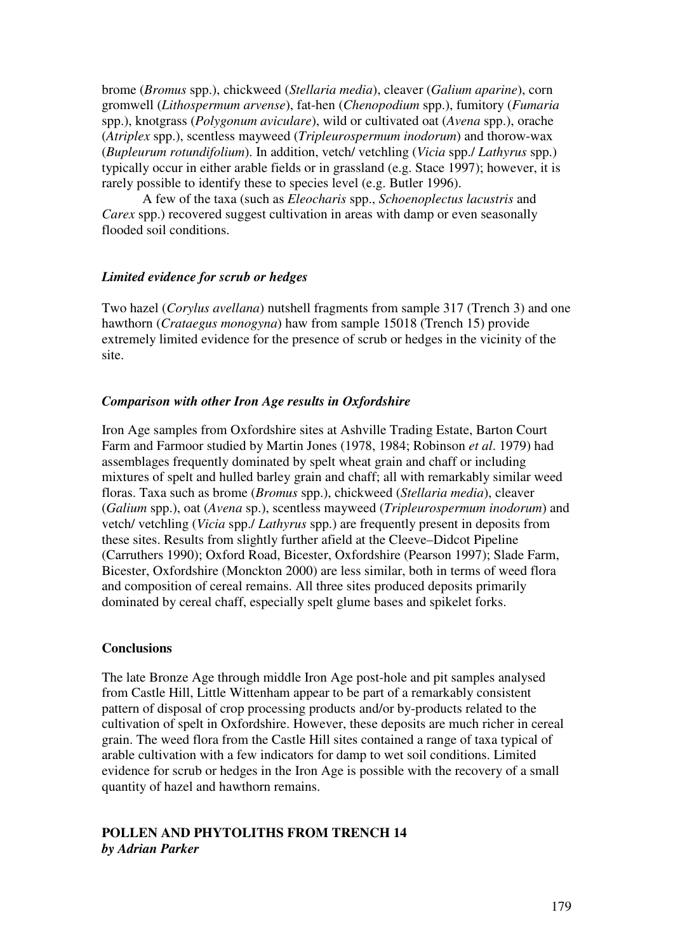brome (*Bromus* spp.), chickweed (*Stellaria media*), cleaver (*Galium aparine*), corn gromwell (*Lithospermum arvense*), fat-hen (*Chenopodium* spp.), fumitory (*Fumaria* spp.), knotgrass (*Polygonum aviculare*), wild or cultivated oat (*Avena* spp.), orache (*Atriplex* spp.), scentless mayweed (*Tripleurospermum inodorum*) and thorow-wax (*Bupleurum rotundifolium*). In addition, vetch/ vetchling (*Vicia* spp./ *Lathyrus* spp.) typically occur in either arable fields or in grassland (e.g. Stace 1997); however, it is rarely possible to identify these to species level (e.g. Butler 1996).

A few of the taxa (such as *Eleocharis* spp., *Schoenoplectus lacustris* and *Carex* spp.) recovered suggest cultivation in areas with damp or even seasonally flooded soil conditions.

# *Limited evidence for scrub or hedges*

Two hazel (*Corylus avellana*) nutshell fragments from sample 317 (Trench 3) and one hawthorn (*Crataegus monogyna*) haw from sample 15018 (Trench 15) provide extremely limited evidence for the presence of scrub or hedges in the vicinity of the site.

# *Comparison with other Iron Age results in Oxfordshire*

Iron Age samples from Oxfordshire sites at Ashville Trading Estate, Barton Court Farm and Farmoor studied by Martin Jones (1978, 1984; Robinson *et al*. 1979) had assemblages frequently dominated by spelt wheat grain and chaff or including mixtures of spelt and hulled barley grain and chaff; all with remarkably similar weed floras. Taxa such as brome (*Bromus* spp.), chickweed (*Stellaria media*), cleaver (*Galium* spp.), oat (*Avena* sp.), scentless mayweed (*Tripleurospermum inodorum*) and vetch/ vetchling (*Vicia* spp./ *Lathyrus* spp.) are frequently present in deposits from these sites. Results from slightly further afield at the Cleeve–Didcot Pipeline (Carruthers 1990); Oxford Road, Bicester, Oxfordshire (Pearson 1997); Slade Farm, Bicester, Oxfordshire (Monckton 2000) are less similar, both in terms of weed flora and composition of cereal remains. All three sites produced deposits primarily dominated by cereal chaff, especially spelt glume bases and spikelet forks.

## **Conclusions**

The late Bronze Age through middle Iron Age post-hole and pit samples analysed from Castle Hill, Little Wittenham appear to be part of a remarkably consistent pattern of disposal of crop processing products and/or by-products related to the cultivation of spelt in Oxfordshire. However, these deposits are much richer in cereal grain. The weed flora from the Castle Hill sites contained a range of taxa typical of arable cultivation with a few indicators for damp to wet soil conditions. Limited evidence for scrub or hedges in the Iron Age is possible with the recovery of a small quantity of hazel and hawthorn remains.

# **POLLEN AND PHYTOLITHS FROM TRENCH 14**  *by Adrian Parker*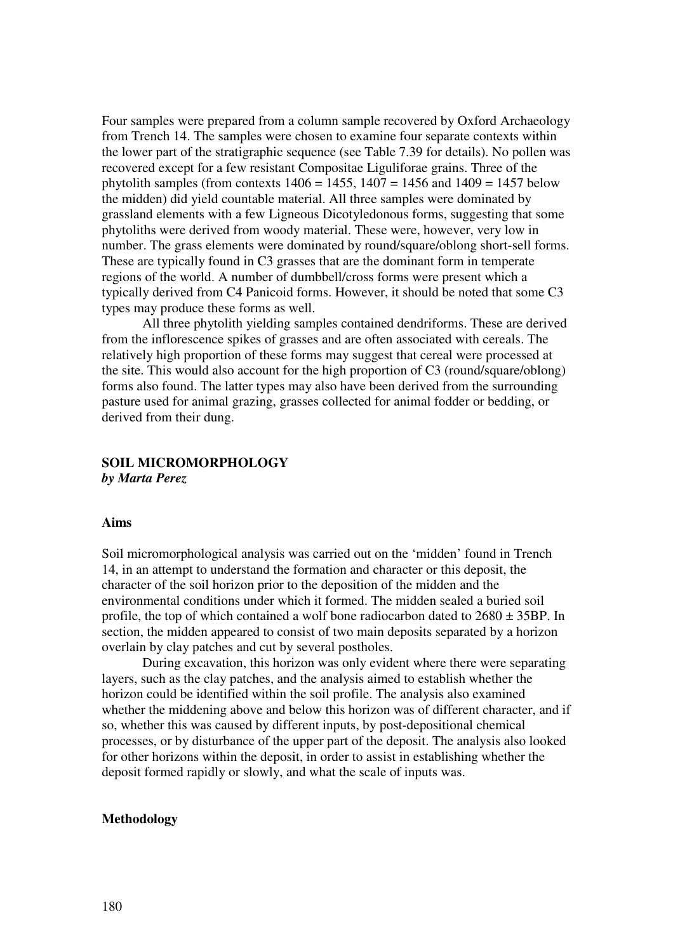Four samples were prepared from a column sample recovered by Oxford Archaeology from Trench 14. The samples were chosen to examine four separate contexts within the lower part of the stratigraphic sequence (see Table 7.39 for details). No pollen was recovered except for a few resistant Compositae Liguliforae grains. Three of the phytolith samples (from contexts  $1406 = 1455$ ,  $1407 = 1456$  and  $1409 = 1457$  below the midden) did yield countable material. All three samples were dominated by grassland elements with a few Ligneous Dicotyledonous forms, suggesting that some phytoliths were derived from woody material. These were, however, very low in number. The grass elements were dominated by round/square/oblong short-sell forms. These are typically found in C3 grasses that are the dominant form in temperate regions of the world. A number of dumbbell/cross forms were present which a typically derived from C4 Panicoid forms. However, it should be noted that some C3 types may produce these forms as well.

All three phytolith yielding samples contained dendriforms. These are derived from the inflorescence spikes of grasses and are often associated with cereals. The relatively high proportion of these forms may suggest that cereal were processed at the site. This would also account for the high proportion of C3 (round/square/oblong) forms also found. The latter types may also have been derived from the surrounding pasture used for animal grazing, grasses collected for animal fodder or bedding, or derived from their dung.

# **SOIL MICROMORPHOLOGY**  *by Marta Perez*

#### **Aims**

Soil micromorphological analysis was carried out on the 'midden' found in Trench 14, in an attempt to understand the formation and character or this deposit, the character of the soil horizon prior to the deposition of the midden and the environmental conditions under which it formed. The midden sealed a buried soil profile, the top of which contained a wolf bone radiocarbon dated to  $2680 \pm 35BP$ . In section, the midden appeared to consist of two main deposits separated by a horizon overlain by clay patches and cut by several postholes.

During excavation, this horizon was only evident where there were separating layers, such as the clay patches, and the analysis aimed to establish whether the horizon could be identified within the soil profile. The analysis also examined whether the middening above and below this horizon was of different character, and if so, whether this was caused by different inputs, by post-depositional chemical processes, or by disturbance of the upper part of the deposit. The analysis also looked for other horizons within the deposit, in order to assist in establishing whether the deposit formed rapidly or slowly, and what the scale of inputs was.

#### **Methodology**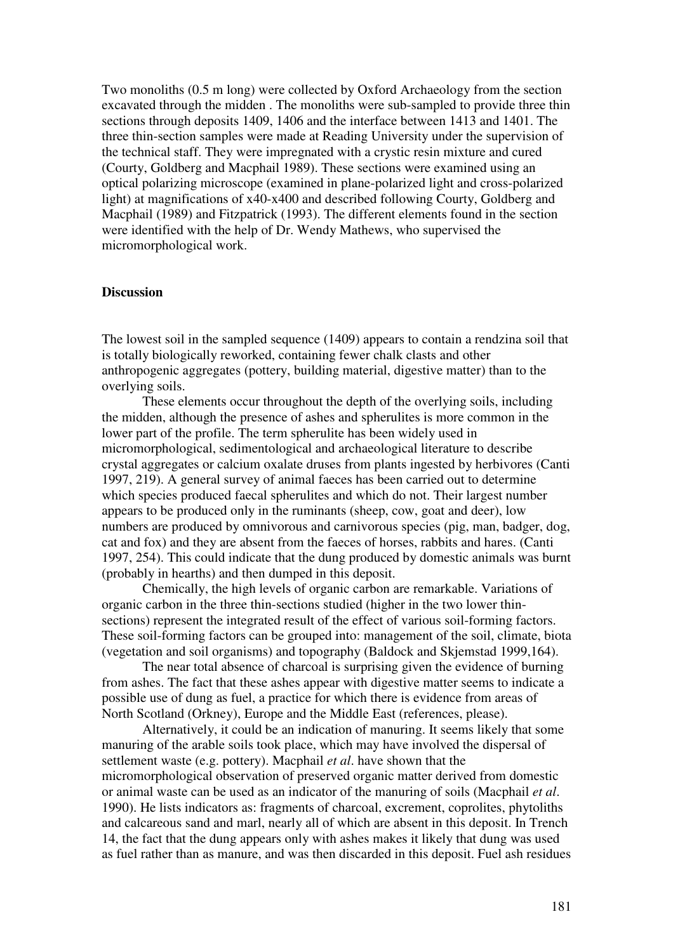Two monoliths (0.5 m long) were collected by Oxford Archaeology from the section excavated through the midden . The monoliths were sub-sampled to provide three thin sections through deposits 1409, 1406 and the interface between 1413 and 1401. The three thin-section samples were made at Reading University under the supervision of the technical staff. They were impregnated with a crystic resin mixture and cured (Courty, Goldberg and Macphail 1989). These sections were examined using an optical polarizing microscope (examined in plane-polarized light and cross-polarized light) at magnifications of x40-x400 and described following Courty, Goldberg and Macphail (1989) and Fitzpatrick (1993). The different elements found in the section were identified with the help of Dr. Wendy Mathews, who supervised the micromorphological work.

## **Discussion**

The lowest soil in the sampled sequence (1409) appears to contain a rendzina soil that is totally biologically reworked, containing fewer chalk clasts and other anthropogenic aggregates (pottery, building material, digestive matter) than to the overlying soils.

These elements occur throughout the depth of the overlying soils, including the midden, although the presence of ashes and spherulites is more common in the lower part of the profile. The term spherulite has been widely used in micromorphological, sedimentological and archaeological literature to describe crystal aggregates or calcium oxalate druses from plants ingested by herbivores (Canti 1997, 219). A general survey of animal faeces has been carried out to determine which species produced faecal spherulites and which do not. Their largest number appears to be produced only in the ruminants (sheep, cow, goat and deer), low numbers are produced by omnivorous and carnivorous species (pig, man, badger, dog, cat and fox) and they are absent from the faeces of horses, rabbits and hares. (Canti 1997, 254). This could indicate that the dung produced by domestic animals was burnt (probably in hearths) and then dumped in this deposit.

Chemically, the high levels of organic carbon are remarkable. Variations of organic carbon in the three thin-sections studied (higher in the two lower thinsections) represent the integrated result of the effect of various soil-forming factors. These soil-forming factors can be grouped into: management of the soil, climate, biota (vegetation and soil organisms) and topography (Baldock and Skjemstad 1999,164).

The near total absence of charcoal is surprising given the evidence of burning from ashes. The fact that these ashes appear with digestive matter seems to indicate a possible use of dung as fuel, a practice for which there is evidence from areas of North Scotland (Orkney), Europe and the Middle East (references, please).

Alternatively, it could be an indication of manuring. It seems likely that some manuring of the arable soils took place, which may have involved the dispersal of settlement waste (e.g. pottery). Macphail *et al*. have shown that the micromorphological observation of preserved organic matter derived from domestic or animal waste can be used as an indicator of the manuring of soils (Macphail *et al*. 1990). He lists indicators as: fragments of charcoal, excrement, coprolites, phytoliths and calcareous sand and marl, nearly all of which are absent in this deposit. In Trench 14, the fact that the dung appears only with ashes makes it likely that dung was used as fuel rather than as manure, and was then discarded in this deposit. Fuel ash residues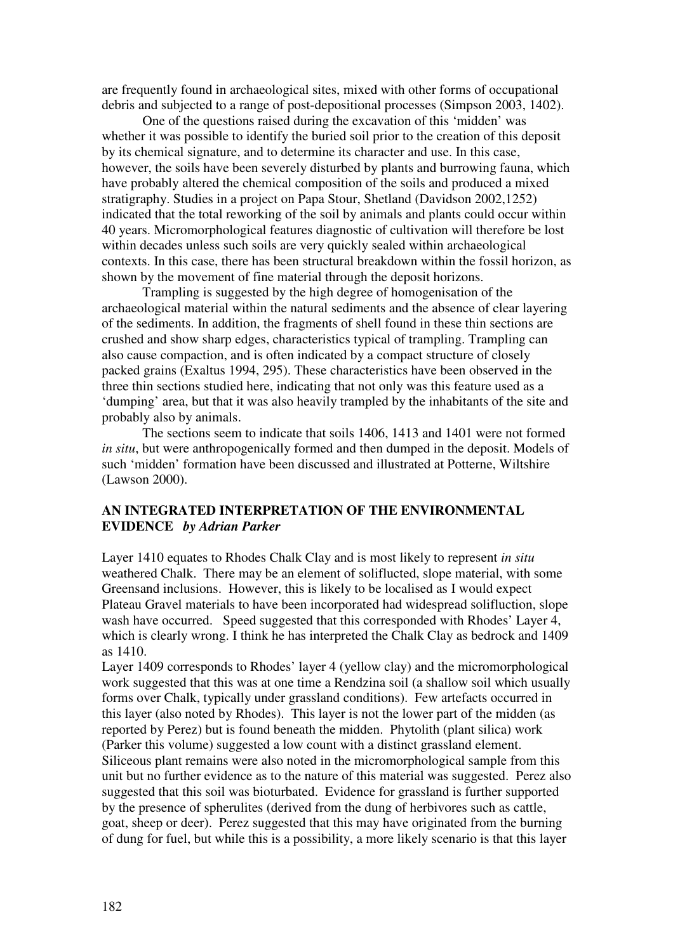are frequently found in archaeological sites, mixed with other forms of occupational debris and subjected to a range of post-depositional processes (Simpson 2003, 1402).

One of the questions raised during the excavation of this 'midden' was whether it was possible to identify the buried soil prior to the creation of this deposit by its chemical signature, and to determine its character and use. In this case, however, the soils have been severely disturbed by plants and burrowing fauna, which have probably altered the chemical composition of the soils and produced a mixed stratigraphy. Studies in a project on Papa Stour, Shetland (Davidson 2002,1252) indicated that the total reworking of the soil by animals and plants could occur within 40 years. Micromorphological features diagnostic of cultivation will therefore be lost within decades unless such soils are very quickly sealed within archaeological contexts. In this case, there has been structural breakdown within the fossil horizon, as shown by the movement of fine material through the deposit horizons.

Trampling is suggested by the high degree of homogenisation of the archaeological material within the natural sediments and the absence of clear layering of the sediments. In addition, the fragments of shell found in these thin sections are crushed and show sharp edges, characteristics typical of trampling. Trampling can also cause compaction, and is often indicated by a compact structure of closely packed grains (Exaltus 1994, 295). These characteristics have been observed in the three thin sections studied here, indicating that not only was this feature used as a 'dumping' area, but that it was also heavily trampled by the inhabitants of the site and probably also by animals.

The sections seem to indicate that soils 1406, 1413 and 1401 were not formed *in situ*, but were anthropogenically formed and then dumped in the deposit. Models of such 'midden' formation have been discussed and illustrated at Potterne, Wiltshire (Lawson 2000).

# **AN INTEGRATED INTERPRETATION OF THE ENVIRONMENTAL EVIDENCE** *by Adrian Parker*

Layer 1410 equates to Rhodes Chalk Clay and is most likely to represent *in situ* weathered Chalk. There may be an element of soliflucted, slope material, with some Greensand inclusions. However, this is likely to be localised as I would expect Plateau Gravel materials to have been incorporated had widespread solifluction, slope wash have occurred. Speed suggested that this corresponded with Rhodes' Layer 4, which is clearly wrong. I think he has interpreted the Chalk Clay as bedrock and 1409 as 1410.

Layer 1409 corresponds to Rhodes' layer 4 (yellow clay) and the micromorphological work suggested that this was at one time a Rendzina soil (a shallow soil which usually forms over Chalk, typically under grassland conditions). Few artefacts occurred in this layer (also noted by Rhodes). This layer is not the lower part of the midden (as reported by Perez) but is found beneath the midden. Phytolith (plant silica) work (Parker this volume) suggested a low count with a distinct grassland element. Siliceous plant remains were also noted in the micromorphological sample from this unit but no further evidence as to the nature of this material was suggested. Perez also suggested that this soil was bioturbated. Evidence for grassland is further supported by the presence of spherulites (derived from the dung of herbivores such as cattle, goat, sheep or deer). Perez suggested that this may have originated from the burning of dung for fuel, but while this is a possibility, a more likely scenario is that this layer